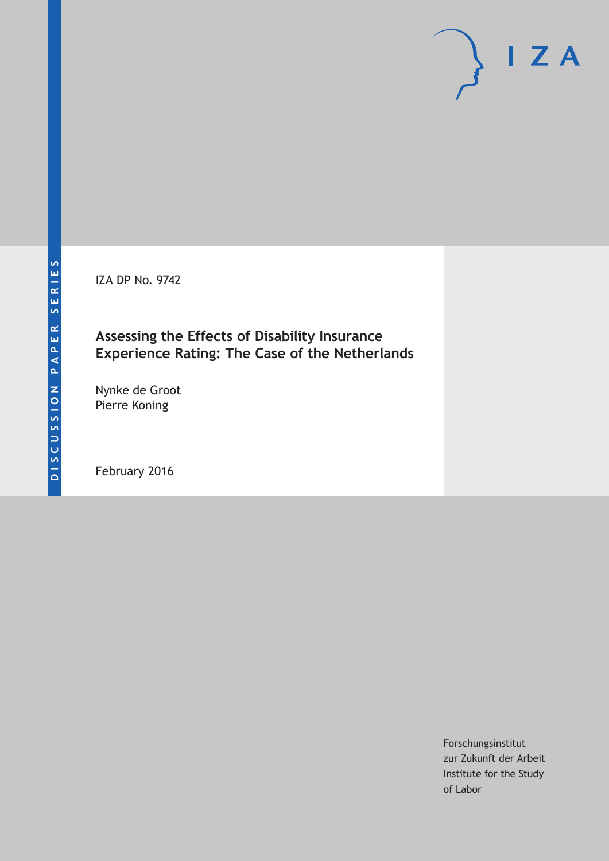IZA DP No. 9742

# **Assessing the Effects of Disability Insurance Experience Rating: The Case of the Netherlands**

Nynke de Groot Pierre Koning

February 2016

Forschungsinstitut zur Zukunft der Arbeit Institute for the Study of Labor

 $I Z A$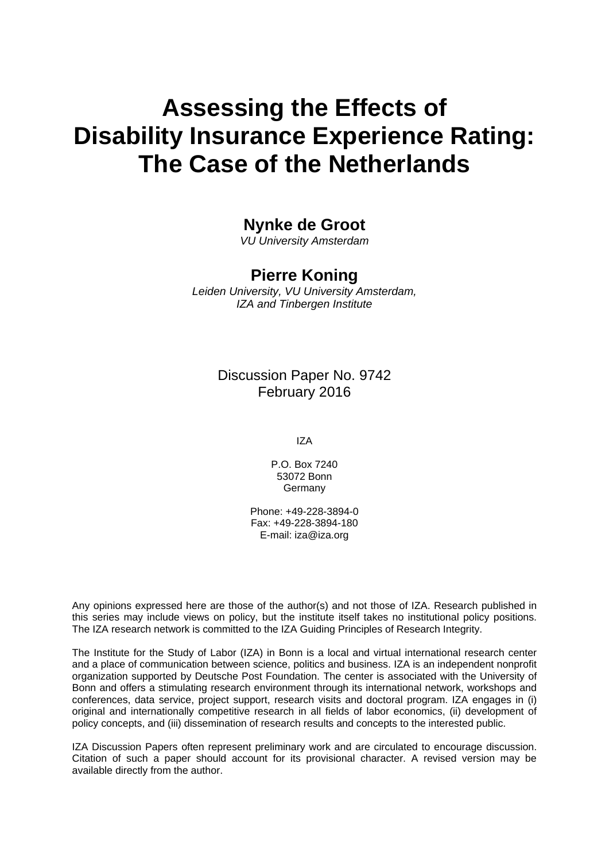# **Assessing the Effects of Disability Insurance Experience Rating: The Case of the Netherlands**

# **Nynke de Groot**

*VU University Amsterdam* 

## **Pierre Koning**

*Leiden University, VU University Amsterdam, IZA and Tinbergen Institute* 

### Discussion Paper No. 9742 February 2016

IZA

P.O. Box 7240 53072 Bonn **Germany** 

Phone: +49-228-3894-0 Fax: +49-228-3894-180 E-mail: iza@iza.org

Any opinions expressed here are those of the author(s) and not those of IZA. Research published in this series may include views on policy, but the institute itself takes no institutional policy positions. The IZA research network is committed to the IZA Guiding Principles of Research Integrity.

The Institute for the Study of Labor (IZA) in Bonn is a local and virtual international research center and a place of communication between science, politics and business. IZA is an independent nonprofit organization supported by Deutsche Post Foundation. The center is associated with the University of Bonn and offers a stimulating research environment through its international network, workshops and conferences, data service, project support, research visits and doctoral program. IZA engages in (i) original and internationally competitive research in all fields of labor economics, (ii) development of policy concepts, and (iii) dissemination of research results and concepts to the interested public.

IZA Discussion Papers often represent preliminary work and are circulated to encourage discussion. Citation of such a paper should account for its provisional character. A revised version may be available directly from the author.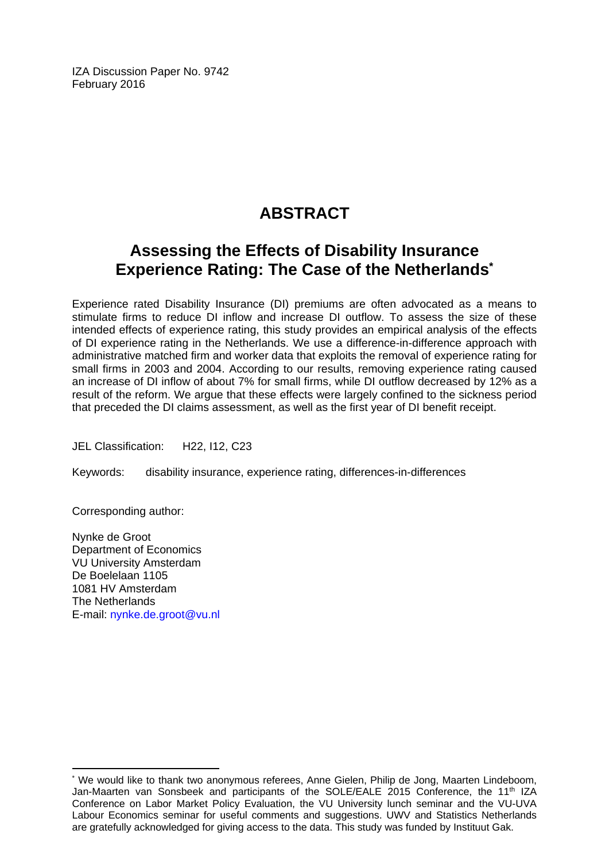IZA Discussion Paper No. 9742 February 2016

# **ABSTRACT**

# **Assessing the Effects of Disability Insurance Experience Rating: The Case of the Netherlands\***

Experience rated Disability Insurance (DI) premiums are often advocated as a means to stimulate firms to reduce DI inflow and increase DI outflow. To assess the size of these intended effects of experience rating, this study provides an empirical analysis of the effects of DI experience rating in the Netherlands. We use a difference-in-difference approach with administrative matched firm and worker data that exploits the removal of experience rating for small firms in 2003 and 2004. According to our results, removing experience rating caused an increase of DI inflow of about 7% for small firms, while DI outflow decreased by 12% as a result of the reform. We argue that these effects were largely confined to the sickness period that preceded the DI claims assessment, as well as the first year of DI benefit receipt.

JEL Classification: H22, I12, C23

Keywords: disability insurance, experience rating, differences-in-differences

Corresponding author:

 $\overline{\phantom{a}}$ 

Nynke de Groot Department of Economics VU University Amsterdam De Boelelaan 1105 1081 HV Amsterdam The Netherlands E-mail: nynke.de.groot@vu.nl

<sup>\*</sup> We would like to thank two anonymous referees, Anne Gielen, Philip de Jong, Maarten Lindeboom, Jan-Maarten van Sonsbeek and participants of the SOLE/EALE 2015 Conference, the 11<sup>th</sup> IZA Conference on Labor Market Policy Evaluation, the VU University lunch seminar and the VU-UVA Labour Economics seminar for useful comments and suggestions. UWV and Statistics Netherlands are gratefully acknowledged for giving access to the data. This study was funded by Instituut Gak.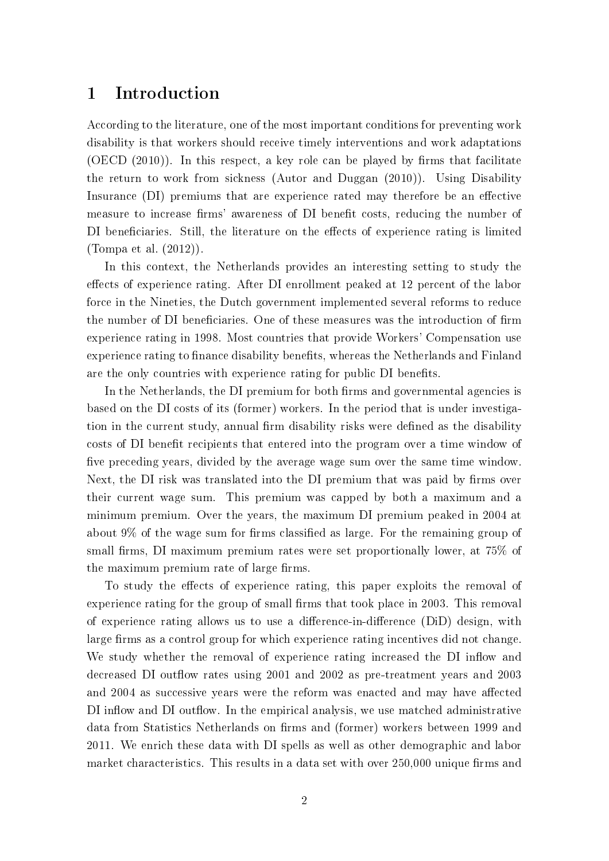# 1 Introduction

According to the literature, one of the most important conditions for preventing work disability is that workers should receive timely interventions and work adaptations  $(OECD (2010))$ . In this respect, a key role can be played by firms that facilitate the return to work from sickness (Autor and Duggan (2010)). Using Disability Insurance (DI) premiums that are experience rated may therefore be an effective measure to increase firms' awareness of DI benefit costs, reducing the number of DI beneficiaries. Still, the literature on the effects of experience rating is limited (Tompa et al. (2012)).

In this context, the Netherlands provides an interesting setting to study the effects of experience rating. After DI enrollment peaked at 12 percent of the labor force in the Nineties, the Dutch government implemented several reforms to reduce the number of DI beneficiaries. One of these measures was the introduction of firm experience rating in 1998. Most countries that provide Workers' Compensation use experience rating to finance disability benefits, whereas the Netherlands and Finland are the only countries with experience rating for public DI benefits.

In the Netherlands, the DI premium for both firms and governmental agencies is based on the DI costs of its (former) workers. In the period that is under investigation in the current study, annual firm disability risks were defined as the disability costs of DI benefit recipients that entered into the program over a time window of five preceding years, divided by the average wage sum over the same time window. Next, the DI risk was translated into the DI premium that was paid by firms over their current wage sum. This premium was capped by both a maximum and a minimum premium. Over the years, the maximum DI premium peaked in 2004 at about  $9\%$  of the wage sum for firms classified as large. For the remaining group of small firms, DI maximum premium rates were set proportionally lower, at 75% of the maximum premium rate of large firms.

To study the effects of experience rating, this paper exploits the removal of experience rating for the group of small firms that took place in 2003. This removal of experience rating allows us to use a difference-in-difference  $(DiD)$  design, with large firms as a control group for which experience rating incentives did not change. We study whether the removal of experience rating increased the DI inflow and decreased DI outflow rates using 2001 and 2002 as pre-treatment years and 2003 and 2004 as successive years were the reform was enacted and may have affected DI inflow and DI outflow. In the empirical analysis, we use matched administrative data from Statistics Netherlands on firms and (former) workers between 1999 and 2011. We enrich these data with DI spells as well as other demographic and labor market characteristics. This results in a data set with over 250,000 unique firms and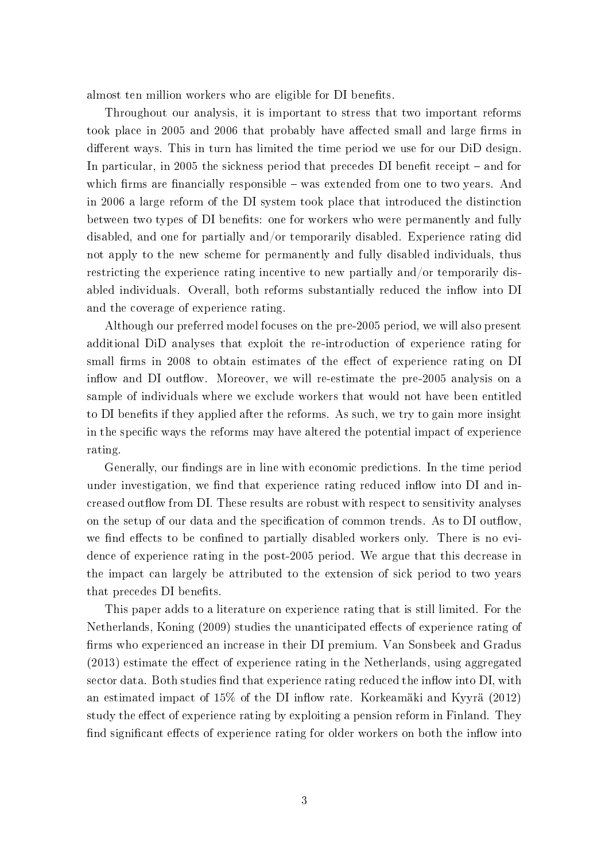almost ten million workers who are eligible for DI benefits.

Throughout our analysis, it is important to stress that two important reforms took place in 2005 and 2006 that probably have affected small and large firms in different ways. This in turn has limited the time period we use for our DiD design. In particular, in 2005 the sickness period that precedes  $DI$  benefit receipt  $-$  and for which firms are financially responsible  $-$  was extended from one to two years. And in 2006 a large reform of the DI system took place that introduced the distinction between two types of DI benefits: one for workers who were permanently and fully disabled, and one for partially and/or temporarily disabled. Experience rating did not apply to the new scheme for permanently and fully disabled individuals, thus restricting the experience rating incentive to new partially and/or temporarily disabled individuals. Overall, both reforms substantially reduced the inflow into DI and the coverage of experience rating.

Although our preferred model focuses on the pre-2005 period, we will also present additional DiD analyses that exploit the re-introduction of experience rating for small firms in 2008 to obtain estimates of the effect of experience rating on DI inflow and DI outflow. Moreover, we will re-estimate the pre-2005 analysis on a sample of individuals where we exclude workers that would not have been entitled to DI benefits if they applied after the reforms. As such, we try to gain more insight in the specific ways the reforms may have altered the potential impact of experience rating.

Generally, our findings are in line with economic predictions. In the time period under investigation, we find that experience rating reduced inflow into DI and increased outflow from DI. These results are robust with respect to sensitivity analyses on the setup of our data and the specification of common trends. As to DI outflow we find effects to be confined to partially disabled workers only. There is no evidence of experience rating in the post-2005 period. We argue that this decrease in the impact can largely be attributed to the extension of sick period to two years that precedes DI benefits.

This paper adds to a literature on experience rating that is still limited. For the Netherlands, Koning (2009) studies the unanticipated effects of experience rating of firms who experienced an increase in their DI premium. Van Sonsbeek and Gradus  $(2013)$  estimate the effect of experience rating in the Netherlands, using aggregated sector data. Both studies find that experience rating reduced the inflow into DI, with an estimated impact of  $15\%$  of the DI inflow rate. Korkeamäki and Kyyrä (2012) study the effect of experience rating by exploiting a pension reform in Finland. They find significant effects of experience rating for older workers on both the inflow into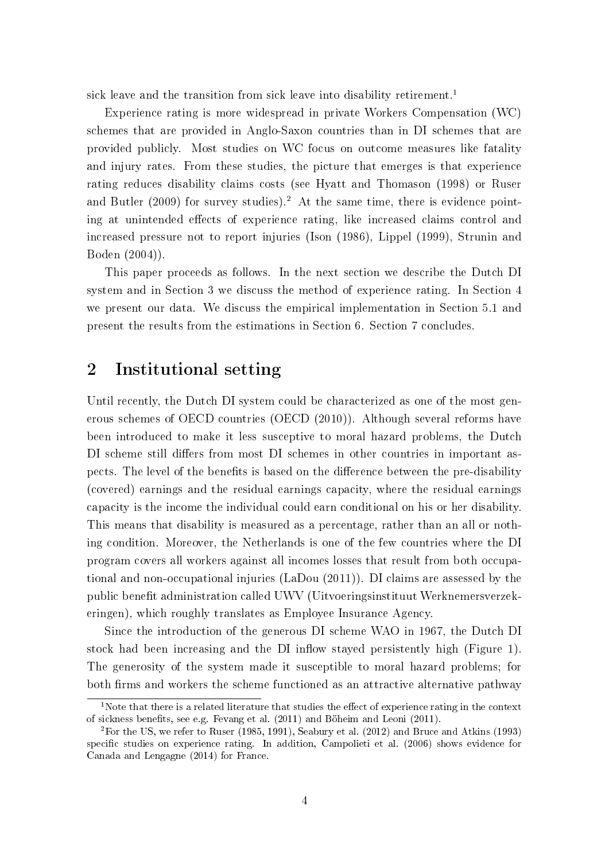sick leave and the transition from sick leave into disability retirement.<sup>1</sup>

Experience rating is more widespread in private Workers Compensation (WC) schemes that are provided in Anglo-Saxon countries than in DI schemes that are provided publicly. Most studies on WC focus on outcome measures like fatality and injury rates. From these studies, the picture that emerges is that experience rating reduces disability claims costs (see Hyatt and Thomason (1998) or Ruser and Butler (2009) for survey studies).<sup>2</sup> At the same time, there is evidence pointing at unintended effects of experience rating, like increased claims control and increased pressure not to report injuries (Ison (1986), Lippel (1999), Strunin and Boden (2004)).

This paper proceeds as follows. In the next section we describe the Dutch DI system and in Section 3 we discuss the method of experience rating. In Section 4 we present our data. We discuss the empirical implementation in Section 5.1 and present the results from the estimations in Section 6. Section 7 concludes.

# 2 Institutional setting

Until recently, the Dutch DI system could be characterized as one of the most generous schemes of OECD countries (OECD (2010)). Although several reforms have been introduced to make it less susceptive to moral hazard problems, the Dutch DI scheme still differs from most DI schemes in other countries in important aspects. The level of the benefits is based on the difference between the pre-disability (covered) earnings and the residual earnings capacity, where the residual earnings capacity is the income the individual could earn conditional on his or her disability. This means that disability is measured as a percentage, rather than an all or nothing condition. Moreover, the Netherlands is one of the few countries where the DI program covers all workers against all incomes losses that result from both occupational and non-occupational injuries (LaDou (2011)). DI claims are assessed by the public benet administration called UWV (Uitvoeringsinstituut Werknemersverzekeringen), which roughly translates as Employee Insurance Agency.

Since the introduction of the generous DI scheme WAO in 1967, the Dutch DI stock had been increasing and the DI inflow stayed persistently high (Figure 1). The generosity of the system made it susceptible to moral hazard problems; for both firms and workers the scheme functioned as an attractive alternative pathway

<sup>&</sup>lt;sup>1</sup>Note that there is a related literature that studies the effect of experience rating in the context of sickness benets, see e.g. Fevang et al. (2011) and Böheim and Leoni (2011).

<sup>2</sup>For the US, we refer to Ruser (1985, 1991), Seabury et al. (2012) and Bruce and Atkins (1993) specific studies on experience rating. In addition, Campolieti et al. (2006) shows evidence for Canada and Lengagne (2014) for France.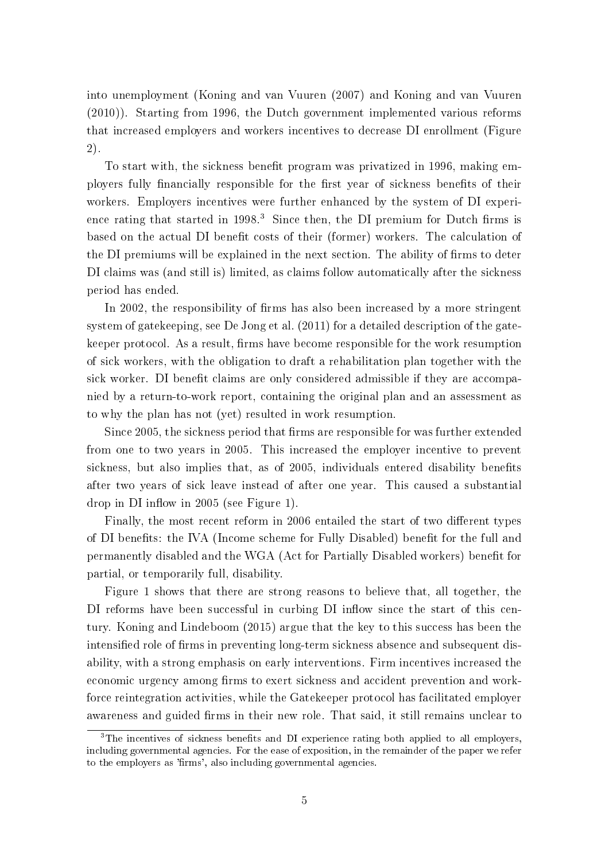into unemployment (Koning and van Vuuren (2007) and Koning and van Vuuren (2010)). Starting from 1996, the Dutch government implemented various reforms that increased employers and workers incentives to decrease DI enrollment (Figure 2).

To start with, the sickness benefit program was privatized in 1996, making employers fully financially responsible for the first year of sickness benefits of their workers. Employers incentives were further enhanced by the system of DI experience rating that started in  $1998<sup>3</sup>$ . Since then, the DI premium for Dutch firms is based on the actual DI benefit costs of their (former) workers. The calculation of the DI premiums will be explained in the next section. The ability of firms to deter DI claims was (and still is) limited, as claims follow automatically after the sickness period has ended.

In 2002, the responsibility of firms has also been increased by a more stringent system of gatekeeping, see De Jong et al. (2011) for a detailed description of the gatekeeper protocol. As a result, firms have become responsible for the work resumption of sick workers, with the obligation to draft a rehabilitation plan together with the sick worker. DI benefit claims are only considered admissible if they are accompanied by a return-to-work report, containing the original plan and an assessment as to why the plan has not (yet) resulted in work resumption.

Since 2005, the sickness period that firms are responsible for was further extended from one to two years in 2005. This increased the employer incentive to prevent sickness, but also implies that, as of 2005, individuals entered disability benefits after two years of sick leave instead of after one year. This caused a substantial drop in DI inflow in  $2005$  (see Figure 1).

Finally, the most recent reform in 2006 entailed the start of two different types of DI benefits: the IVA (Income scheme for Fully Disabled) benefit for the full and permanently disabled and the WGA (Act for Partially Disabled workers) benefit for partial, or temporarily full, disability.

Figure 1 shows that there are strong reasons to believe that, all together, the DI reforms have been successful in curbing DI inflow since the start of this century. Koning and Lindeboom (2015) argue that the key to this success has been the intensified role of firms in preventing long-term sickness absence and subsequent disability, with a strong emphasis on early interventions. Firm incentives increased the economic urgency among firms to exert sickness and accident prevention and workforce reintegration activities, while the Gatekeeper protocol has facilitated employer awareness and guided firms in their new role. That said, it still remains unclear to

<sup>&</sup>lt;sup>3</sup>The incentives of sickness benefits and DI experience rating both applied to all employers, including governmental agencies. For the ease of exposition, in the remainder of the paper we refer to the employers as 'firms', also including governmental agencies.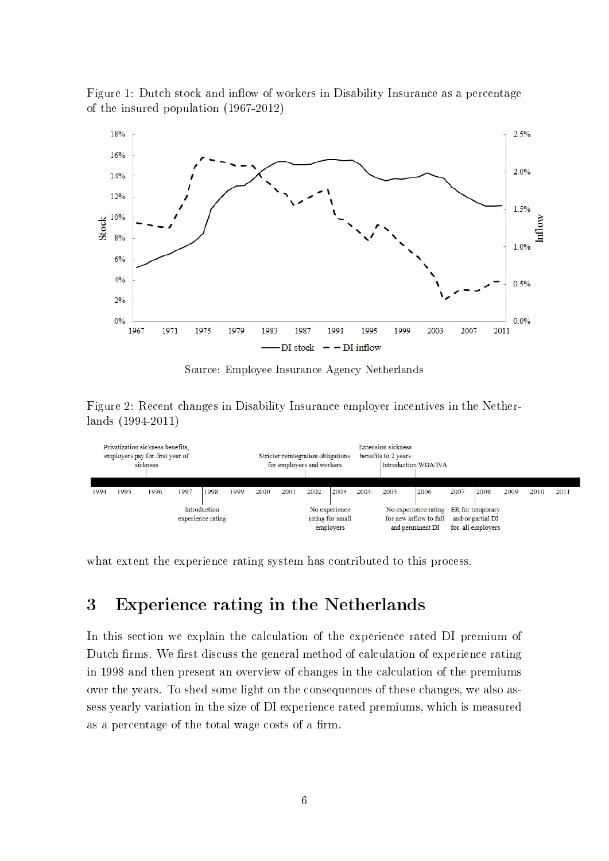Figure 1: Dutch stock and inflow of workers in Disability Insurance as a percentage of the insured population (1967-2012)



Source: Employee Insurance Agency Netherlands

Figure 2: Recent changes in Disability Insurance employer incentives in the Netherlands (1994-2011)

| Privatization sickness benefits.<br>employers pay for first year of<br>sickness |      |      |      | Stricter reintegration obligations<br>for employers and workers |                                                |      | <b>Extension sickness</b><br>benefits to 2 years<br>Introduction WGA/IVA |                                                                                     |      |                                        |      |      |      |      |      |      |      |
|---------------------------------------------------------------------------------|------|------|------|-----------------------------------------------------------------|------------------------------------------------|------|--------------------------------------------------------------------------|-------------------------------------------------------------------------------------|------|----------------------------------------|------|------|------|------|------|------|------|
| 1994                                                                            | 1995 | 1996 | 1997 | 1998                                                            | 1999                                           | 2000 | 2001                                                                     | 2002                                                                                | 2003 | 2004                                   | 2005 | 2006 | 2007 | 2008 | 2009 | 2010 | 2011 |
| Introduction<br>experience rating                                               |      |      |      |                                                                 | No experience<br>rating for small<br>employers |      |                                                                          | No experience rating ER for temporary<br>for new inflow to full<br>and permanent DI |      | and/or partial DI<br>for all employers |      |      |      |      |      |      |      |

what extent the experience rating system has contributed to this process.

# 3 Experience rating in the Netherlands

In this section we explain the calculation of the experience rated DI premium of Dutch firms. We first discuss the general method of calculation of experience rating in 1998 and then present an overview of changes in the calculation of the premiums over the years. To shed some light on the consequences of these changes, we also assess yearly variation in the size of DI experience rated premiums, which is measured as a percentage of the total wage costs of a firm.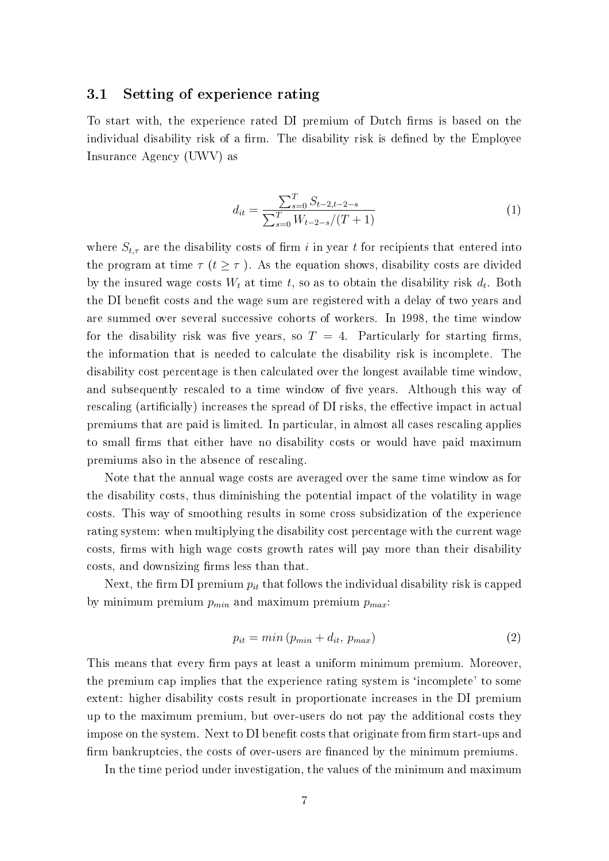#### 3.1 Setting of experience rating

To start with, the experience rated DI premium of Dutch firms is based on the individual disability risk of a firm. The disability risk is defined by the Employee Insurance Agency (UWV) as

$$
d_{it} = \frac{\sum_{s=0}^{T} S_{t-2,t-2-s}}{\sum_{s=0}^{T} W_{t-2-s}/(T+1)}
$$
(1)

where  $S_{t,\tau}$  are the disability costs of firm i in year t for recipients that entered into the program at time  $\tau$  ( $t \geq \tau$ ). As the equation shows, disability costs are divided by the insured wage costs  $W_t$  at time t, so as to obtain the disability risk  $d_t$ . Both the DI benefit costs and the wage sum are registered with a delay of two years and are summed over several successive cohorts of workers. In 1998, the time window for the disability risk was five years, so  $T = 4$ . Particularly for starting firms. the information that is needed to calculate the disability risk is incomplete. The disability cost percentage is then calculated over the longest available time window, and subsequently rescaled to a time window of five years. Although this way of rescaling (artificially) increases the spread of DI risks, the effective impact in actual premiums that are paid is limited. In particular, in almost all cases rescaling applies to small firms that either have no disability costs or would have paid maximum premiums also in the absence of rescaling.

Note that the annual wage costs are averaged over the same time window as for the disability costs, thus diminishing the potential impact of the volatility in wage costs. This way of smoothing results in some cross subsidization of the experience rating system: when multiplying the disability cost percentage with the current wage costs, firms with high wage costs growth rates will pay more than their disability costs, and downsizing firms less than that.

Next, the firm DI premium  $p_{it}$  that follows the individual disability risk is capped by minimum premium  $p_{min}$  and maximum premium  $p_{max}$ :

$$
p_{it} = min(p_{min} + d_{it}, p_{max})
$$
\n(2)

This means that every firm pays at least a uniform minimum premium. Moreover, the premium cap implies that the experience rating system is `incomplete' to some extent: higher disability costs result in proportionate increases in the DI premium up to the maximum premium, but over-users do not pay the additional costs they impose on the system. Next to DI benefit costs that originate from firm start-ups and firm bankruptcies, the costs of over-users are financed by the minimum premiums.

In the time period under investigation, the values of the minimum and maximum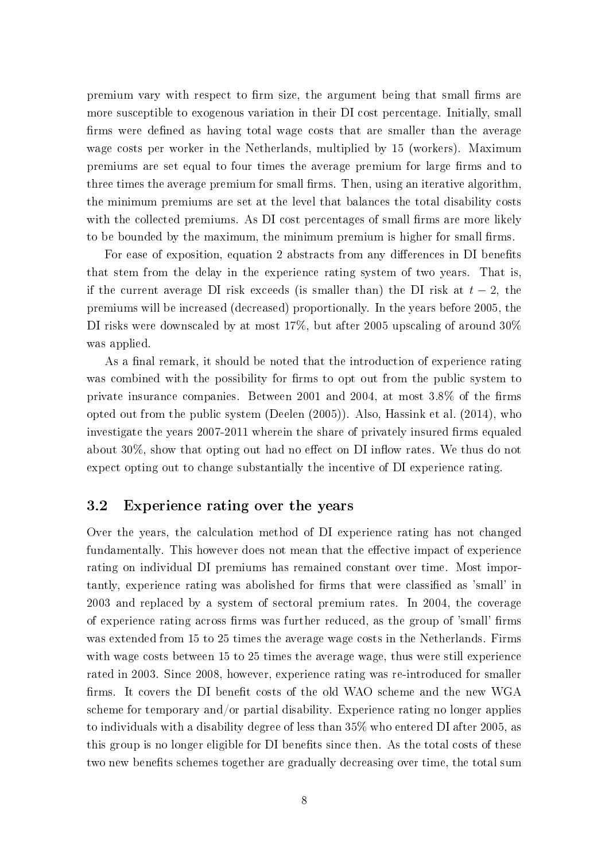premium vary with respect to firm size, the argument being that small firms are more susceptible to exogenous variation in their DI cost percentage. Initially, small firms were defined as having total wage costs that are smaller than the average wage costs per worker in the Netherlands, multiplied by 15 (workers). Maximum premiums are set equal to four times the average premium for large firms and to three times the average premium for small firms. Then, using an iterative algorithm. the minimum premiums are set at the level that balances the total disability costs with the collected premiums. As DI cost percentages of small firms are more likely to be bounded by the maximum, the minimum premium is higher for small firms.

For ease of exposition, equation 2 abstracts from any differences in DI benefits that stem from the delay in the experience rating system of two years. That is if the current average DI risk exceeds (is smaller than) the DI risk at  $t-2$ , the premiums will be increased (decreased) proportionally. In the years before 2005, the DI risks were downscaled by at most 17%, but after 2005 upscaling of around 30% was applied.

As a final remark, it should be noted that the introduction of experience rating was combined with the possibility for firms to opt out from the public system to private insurance companies. Between 2001 and 2004, at most  $3.8\%$  of the firms opted out from the public system (Deelen (2005)). Also, Hassink et al. (2014), who investigate the years 2007-2011 wherein the share of privately insured firms equaled about  $30\%$ , show that opting out had no effect on DI inflow rates. We thus do not expect opting out to change substantially the incentive of DI experience rating.

#### 3.2 Experience rating over the years

Over the years, the calculation method of DI experience rating has not changed fundamentally. This however does not mean that the effective impact of experience rating on individual DI premiums has remained constant over time. Most importantly, experience rating was abolished for firms that were classified as 'small' in 2003 and replaced by a system of sectoral premium rates. In 2004, the coverage of experience rating across firms was further reduced, as the group of 'small' firms was extended from 15 to 25 times the average wage costs in the Netherlands. Firms with wage costs between 15 to 25 times the average wage, thus were still experience rated in 2003. Since 2008, however, experience rating was re-introduced for smaller firms. It covers the DI benefit costs of the old WAO scheme and the new WGA scheme for temporary and/or partial disability. Experience rating no longer applies to individuals with a disability degree of less than 35% who entered DI after 2005, as this group is no longer eligible for DI benefits since then. As the total costs of these two new benefits schemes together are gradually decreasing over time, the total sum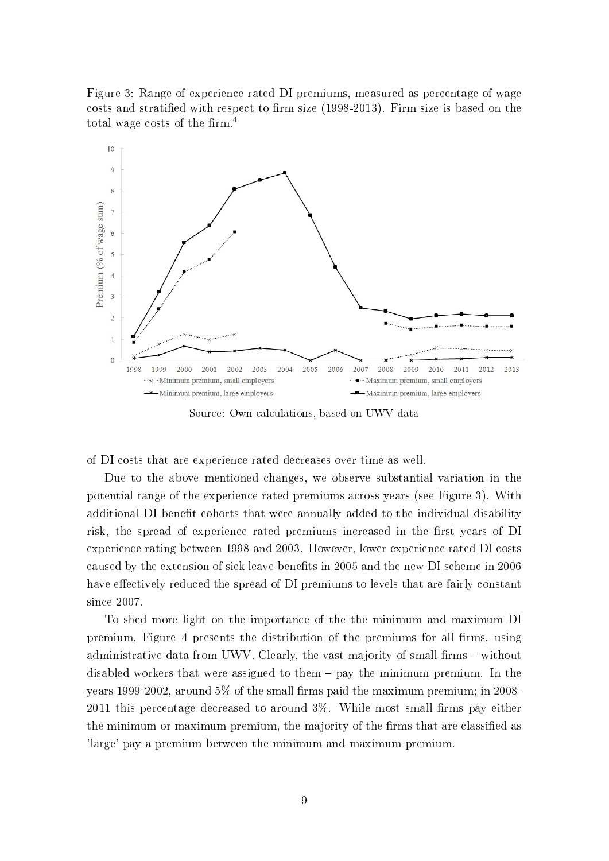Figure 3: Range of experience rated DI premiums, measured as percentage of wage costs and stratified with respect to firm size  $(1998-2013)$ . Firm size is based on the total wage costs of the firm.<sup>4</sup>



Source: Own calculations, based on UWV data

of DI costs that are experience rated decreases over time as well.

Due to the above mentioned changes, we observe substantial variation in the potential range of the experience rated premiums across years (see Figure 3). With additional DI benefit cohorts that were annually added to the individual disability risk, the spread of experience rated premiums increased in the first years of DI experience rating between 1998 and 2003. However, lower experience rated DI costs caused by the extension of sick leave benets in 2005 and the new DI scheme in 2006 have effectively reduced the spread of DI premiums to levels that are fairly constant since 2007.

To shed more light on the importance of the the minimum and maximum DI premium, Figure 4 presents the distribution of the premiums for all firms, using administrative data from UWV. Clearly, the vast majority of small firms  $-$  without disabled workers that were assigned to them  $-$  pay the minimum premium. In the years 1999-2002, around  $5\%$  of the small firms paid the maximum premium; in 2008- $2011$  this percentage decreased to around  $3\%$ . While most small firms pay either the minimum or maximum premium, the majority of the firms that are classified as 'large' pay a premium between the minimum and maximum premium.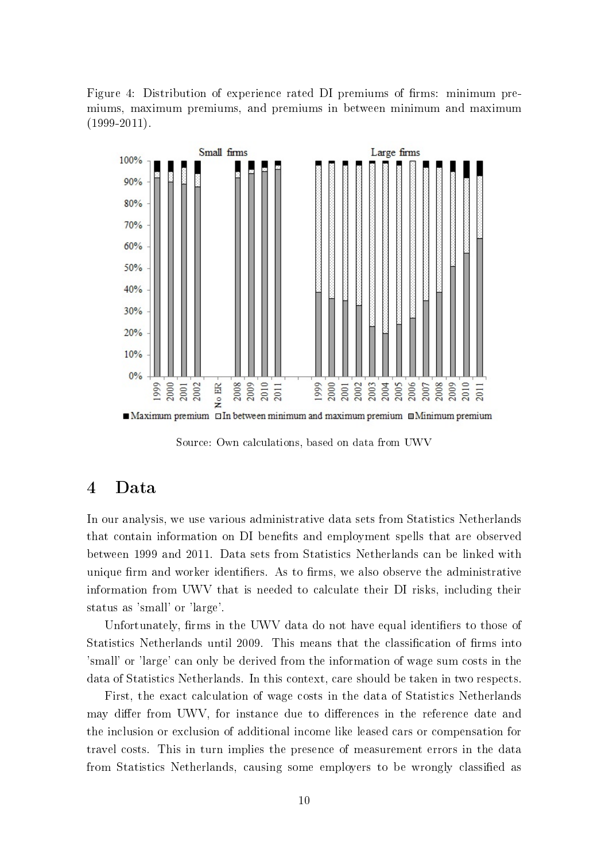Figure 4: Distribution of experience rated DI premiums of firms: minimum premiums, maximum premiums, and premiums in between minimum and maximum  $(1999-2011).$ 



Maximum premium DIn between minimum and maximum premium InMinimum premium

Source: Own calculations, based on data from UWV

### 4 Data

In our analysis, we use various administrative data sets from Statistics Netherlands that contain information on DI benets and employment spells that are observed between 1999 and 2011. Data sets from Statistics Netherlands can be linked with unique firm and worker identifiers. As to firms, we also observe the administrative information from UWV that is needed to calculate their DI risks, including their status as 'small' or 'large'.

Unfortunately, firms in the UWV data do not have equal identifiers to those of Statistics Netherlands until 2009. This means that the classification of firms into 'small' or 'large' can only be derived from the information of wage sum costs in the data of Statistics Netherlands. In this context, care should be taken in two respects.

First, the exact calculation of wage costs in the data of Statistics Netherlands may differ from UWV, for instance due to differences in the reference date and the inclusion or exclusion of additional income like leased cars or compensation for travel costs. This in turn implies the presence of measurement errors in the data from Statistics Netherlands, causing some employers to be wrongly classied as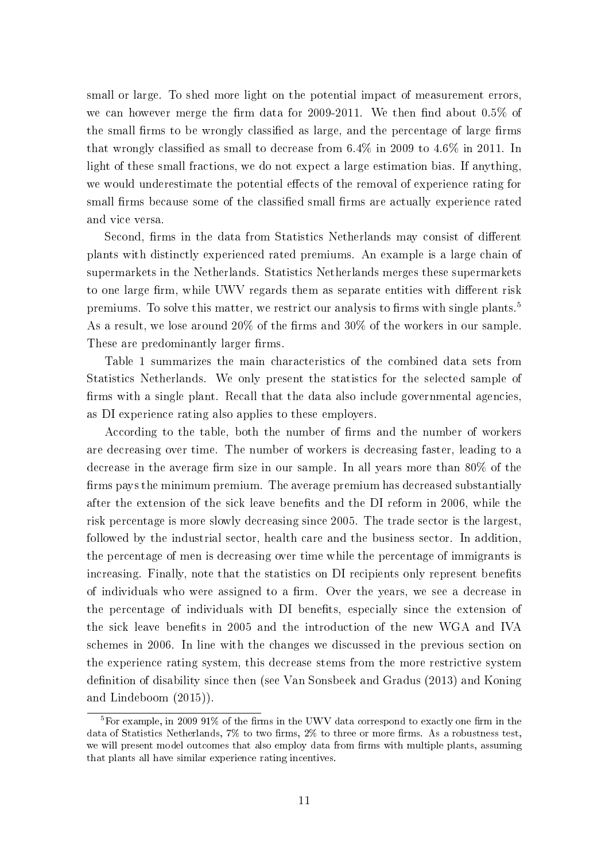small or large. To shed more light on the potential impact of measurement errors, we can however merge the firm data for 2009-2011. We then find about  $0.5\%$  of the small firms to be wrongly classified as large, and the percentage of large firms that wrongly classified as small to decrease from  $6.4\%$  in 2009 to  $4.6\%$  in 2011. In light of these small fractions, we do not expect a large estimation bias. If anything, we would underestimate the potential effects of the removal of experience rating for small firms because some of the classified small firms are actually experience rated and vice versa.

Second, firms in the data from Statistics Netherlands may consist of different plants with distinctly experienced rated premiums. An example is a large chain of supermarkets in the Netherlands. Statistics Netherlands merges these supermarkets to one large firm, while UWV regards them as separate entities with different risk premiums. To solve this matter, we restrict our analysis to firms with single plants.<sup>5</sup> As a result, we lose around  $20\%$  of the firms and  $30\%$  of the workers in our sample. These are predominantly larger firms.

Table 1 summarizes the main characteristics of the combined data sets from Statistics Netherlands. We only present the statistics for the selected sample of firms with a single plant. Recall that the data also include governmental agencies, as DI experience rating also applies to these employers.

According to the table, both the number of firms and the number of workers are decreasing over time. The number of workers is decreasing faster, leading to a decrease in the average firm size in our sample. In all years more than  $80\%$  of the firms pays the minimum premium. The average premium has decreased substantially after the extension of the sick leave benets and the DI reform in 2006, while the risk percentage is more slowly decreasing since 2005. The trade sector is the largest, followed by the industrial sector, health care and the business sector. In addition, the percentage of men is decreasing over time while the percentage of immigrants is increasing. Finally, note that the statistics on DI recipients only represent benefits of individuals who were assigned to a firm. Over the years, we see a decrease in the percentage of individuals with DI benefits, especially since the extension of the sick leave benets in 2005 and the introduction of the new WGA and IVA schemes in 2006. In line with the changes we discussed in the previous section on the experience rating system, this decrease stems from the more restrictive system definition of disability since then (see Van Sonsbeek and Gradus (2013) and Koning and Lindeboom (2015)).

 $5$ For example, in 2009 91% of the firms in the UWV data correspond to exactly one firm in the data of Statistics Netherlands,  $7\%$  to two firms,  $2\%$  to three or more firms. As a robustness test, we will present model outcomes that also employ data from firms with multiple plants, assuming that plants all have similar experience rating incentives.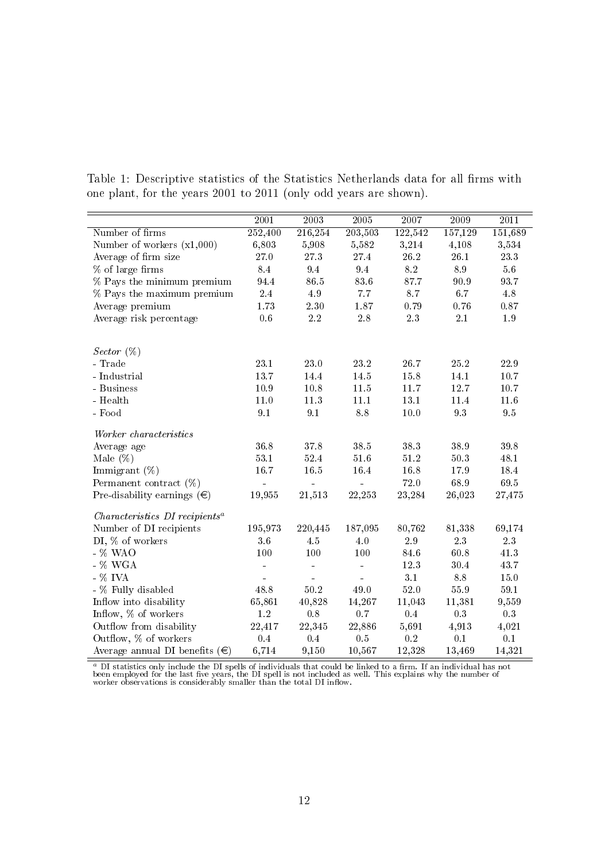|                                         | $\overline{2001}$ | $\overline{2003}$ | 2005           | 2007     | 2009            | 2011     |
|-----------------------------------------|-------------------|-------------------|----------------|----------|-----------------|----------|
| Number of firms                         | 252,400           | 216,254           | 203,503        | 122,542  | 157,129         | 151,689  |
| Number of workers $(x1,000)$            | 6,803             | 5,908             | 5,582          | 3,214    | 4,108           | 3,534    |
| Average of firm size                    | 27.0              | $2\,7.3$          | 27.4           | $26.2\,$ | 26.1            | $23.3\,$ |
| % of large firms                        | 8.4               | 9.4               | $\,9.4$        | $8.2\,$  | 8.9             | $5.6\,$  |
| % Pays the minimum premium              | 94.4              | 86.5              | 83.6           | 87.7     | 90.9            | 93.7     |
| % Pays the maximum premium              | $2.4\,$           | 4.9               | $7.7\,$        | 8.7      | 6.7             | 4.8      |
| Average premium                         | 1.73              | $2.30\,$          | 1.87           | 0.79     | 0.76            | $0.87\,$ |
| Average risk percentage                 | 0.6               | $2.2\,$           | 2.8            | $2.3\,$  | 2.1             | 1.9      |
| Sector $(\%)$                           |                   |                   |                |          |                 |          |
| - Trade                                 | 23.1              | 23.0              | 23.2           | 26.7     | 25.2            | 22.9     |
| $-$ Industrial                          | 13.7              | 14.4              | 14.5           | 15.8     | 14.1            | $10.7\,$ |
| - Business                              | 10.9              | 10.8              | 11.5           | 11.7     | 12.7            | 10.7     |
| - Health                                | $11.0\,$          | $11.3\,$          | 11.1           | 13.1     | 11.4            | $11.6\,$ |
| - Food                                  | 9.1               | 9.1               | 8.8            | $10.0$   | 9.3             | $9.5\,$  |
| Worker characteristics                  |                   |                   |                |          |                 |          |
| Average age                             | 36.8              | 378               | $38.5\,$       | $38.3\,$ | $38.9\,$        | $39.8\,$ |
| Male $(\%)$                             | 53.1              | 52.4              | 51.6           | $51.2\,$ | 50.3            | 48.1     |
| Immigrant $(\%)$                        | 16.7              | $16.5\,$          | 164            | 16.8     | 17.9            | 18.4     |
| Permanent contract $(\%)$               | $\equiv$          | $\overline{a}$    | $\overline{a}$ | 72.0     | 68.9            | $69.5\,$ |
| Pre-disability earnings $(\epsilon)$    | 19,955            | 21,513            | 22,253         | 23,284   | 26,023          | 27,475   |
| $Characteristics\ DI\ recipients^a$     |                   |                   |                |          |                 |          |
| Number of DI recipients                 | 195,973           | 220,445           | 187,095        | 80,762   | 81,338          | 69,174   |
| DI, % of workers                        | 3.6               | 4.5               | 4.0            | $2.9\,$  | 2.3             | $2.3\,$  |
| - % WAO                                 | 100               | 100               | 100            | 84.6     | 60.8            | $41.3\,$ |
| - % WGA                                 | ÷                 | ÷                 | ÷              | 12.3     | 30.4            | 43.7     |
| - % IVA                                 |                   |                   |                | 3.1      | $\!\!\!\!\!8.8$ | $15.0\,$ |
| - % Fully disabled                      | 48.8              | 50.2              | 49.0           | 52.0     | 55.9            | 59.1     |
| Inflow into disability                  | 65,861            | 40,828            | 14,267         | 11,043   | 11,381          | 9,559    |
| Inflow, % of workers                    | $1.2\,$           | 0.8               | 0.7            | 0.4      | 0.3             | 0.3      |
| Outflow from disability                 | 22,417            | 22,345            | 22,886         | 5,691    | 4,913           | 4,021    |
| Outflow, % of workers                   | 0.4               | 0.4               | 0.5            | 0.2      | 0.1             | 0.1      |
| Average annual DI benefits $(\epsilon)$ | 6,714             | 9,150             | 10,567         | 12,328   | 13,469          | 14,321   |

Table 1: Descriptive statistics of the Statistics Netherlands data for all firms with one plant, for the years 2001 to 2011 (only odd years are shown).

 $\alpha$  DI statistics only include the DI spells of individuals that could be linked to a firm. If an individual has not been employed for the last five years, the DI spell is not included as well. This explains why the numb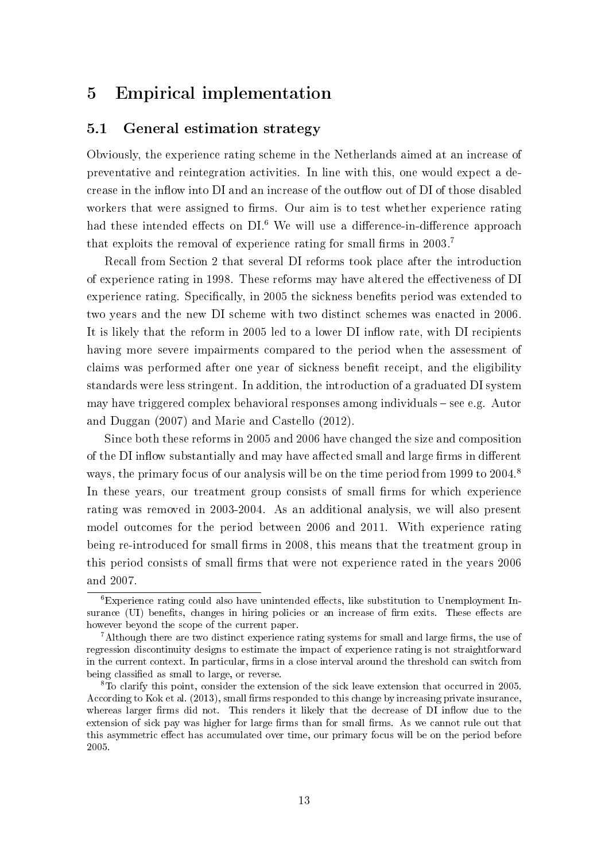# 5 Empirical implementation

#### 5.1 General estimation strategy

Obviously, the experience rating scheme in the Netherlands aimed at an increase of preventative and reintegration activities. In line with this, one would expect a decrease in the inflow into DI and an increase of the outflow out of DI of those disabled workers that were assigned to firms. Our aim is to test whether experience rating had these intended effects on DI.<sup>6</sup> We will use a difference-in-difference approach that exploits the removal of experience rating for small firms in  $2003$ .<sup>7</sup>

Recall from Section 2 that several DI reforms took place after the introduction of experience rating in 1998. These reforms may have altered the effectiveness of DI experience rating. Specifically, in 2005 the sickness benefits period was extended to two years and the new DI scheme with two distinct schemes was enacted in 2006. It is likely that the reform in 2005 led to a lower DI inflow rate, with DI recipients having more severe impairments compared to the period when the assessment of claims was performed after one year of sickness benefit receipt, and the eligibility standards were less stringent. In addition, the introduction of a graduated DI system may have triggered complex behavioral responses among individuals  $-$  see e.g. Autor and Duggan (2007) and Marie and Castello (2012).

Since both these reforms in 2005 and 2006 have changed the size and composition of the DI inflow substantially and may have affected small and large firms in different ways, the primary focus of our analysis will be on the time period from 1999 to 2004.<sup>8</sup> In these years, our treatment group consists of small firms for which experience rating was removed in 2003-2004. As an additional analysis, we will also present model outcomes for the period between 2006 and 2011. With experience rating being re-introduced for small firms in 2008, this means that the treatment group in this period consists of small firms that were not experience rated in the years 2006 and 2007.

 ${}^6$ Experience rating could also have unintended effects, like substitution to Unemployment Insurance (UI) benefits, changes in hiring policies or an increase of firm exits. These effects are however beyond the scope of the current paper.

<sup>&</sup>lt;sup>7</sup>Although there are two distinct experience rating systems for small and large firms, the use of regression discontinuity designs to estimate the impact of experience rating is not straightforward in the current context. In particular, firms in a close interval around the threshold can switch from being classified as small to large, or reverse.

<sup>8</sup>To clarify this point, consider the extension of the sick leave extension that occurred in 2005. According to Kok et al. (2013), small firms responded to this change by increasing private insurance, whereas larger firms did not. This renders it likely that the decrease of DI inflow due to the extension of sick pay was higher for large firms than for small firms. As we cannot rule out that this asymmetric effect has accumulated over time, our primary focus will be on the period before 2005.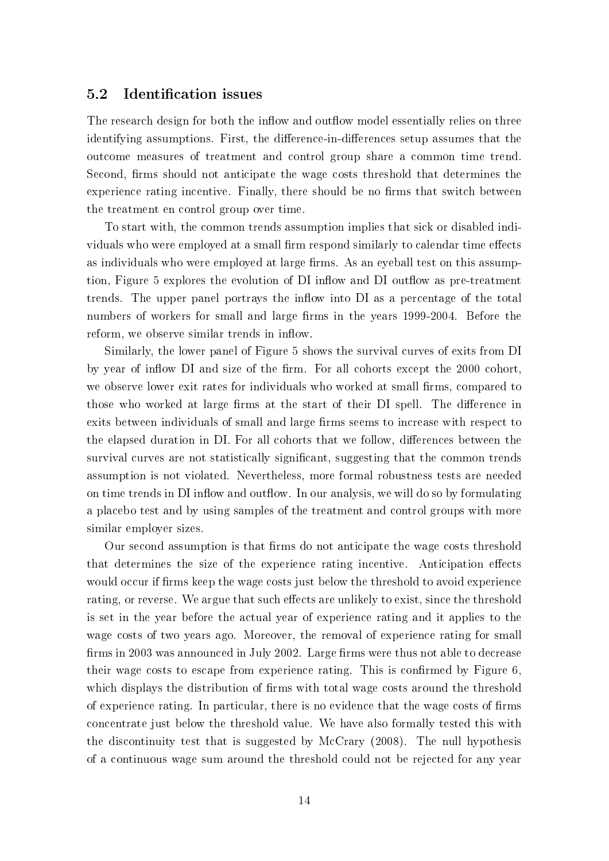#### 5.2 Identification issues

The research design for both the inflow and outflow model essentially relies on three identifying assumptions. First, the difference-in-differences setup assumes that the outcome measures of treatment and control group share a common time trend. Second, firms should not anticipate the wage costs threshold that determines the experience rating incentive. Finally, there should be no firms that switch between the treatment en control group over time.

To start with, the common trends assumption implies that sick or disabled individuals who were employed at a small firm respond similarly to calendar time effects as individuals who were employed at large firms. As an eyeball test on this assumption, Figure 5 explores the evolution of DI inflow and DI outflow as pre-treatment trends. The upper panel portrays the inflow into DI as a percentage of the total numbers of workers for small and large firms in the years 1999-2004. Before the reform, we observe similar trends in inflow.

Similarly, the lower panel of Figure 5 shows the survival curves of exits from DI by year of inflow DI and size of the firm. For all cohorts except the 2000 cohort we observe lower exit rates for individuals who worked at small firms, compared to those who worked at large firms at the start of their DI spell. The difference in exits between individuals of small and large firms seems to increase with respect to the elapsed duration in DI. For all cohorts that we follow, differences between the survival curves are not statistically significant, suggesting that the common trends assumption is not violated. Nevertheless, more formal robustness tests are needed on time trends in DI inflow and outflow. In our analysis, we will do so by formulating a placebo test and by using samples of the treatment and control groups with more similar employer sizes.

Our second assumption is that firms do not anticipate the wage costs threshold that determines the size of the experience rating incentive. Anticipation effects would occur if firms keep the wage costs just below the threshold to avoid experience rating, or reverse. We argue that such effects are unlikely to exist, since the threshold is set in the year before the actual year of experience rating and it applies to the wage costs of two years ago. Moreover, the removal of experience rating for small firms in 2003 was announced in July 2002. Large firms were thus not able to decrease their wage costs to escape from experience rating. This is confirmed by Figure 6 which displays the distribution of firms with total wage costs around the threshold of experience rating. In particular, there is no evidence that the wage costs of firms concentrate just below the threshold value. We have also formally tested this with the discontinuity test that is suggested by McCrary (2008). The null hypothesis of a continuous wage sum around the threshold could not be rejected for any year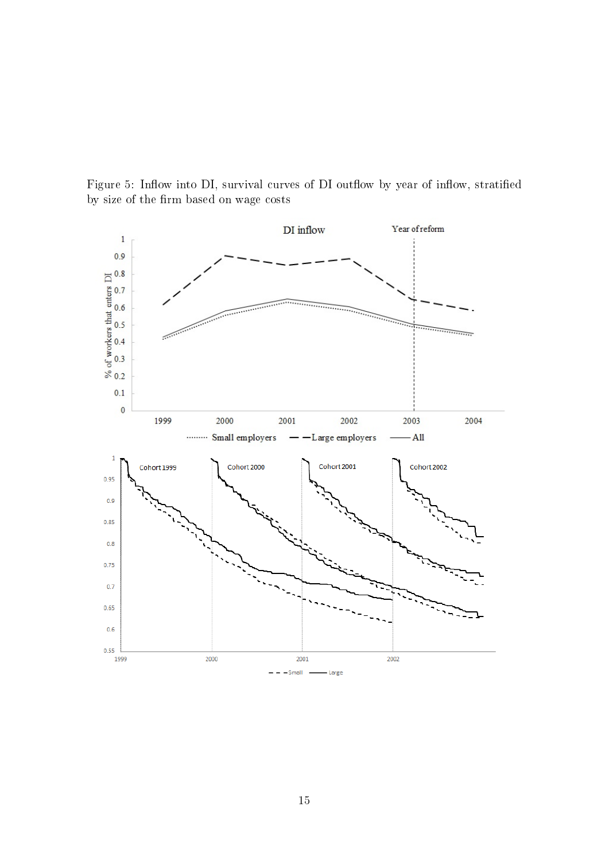

Figure 5: Inflow into DI, survival curves of DI outflow by year of inflow, stratified by size of the firm based on wage costs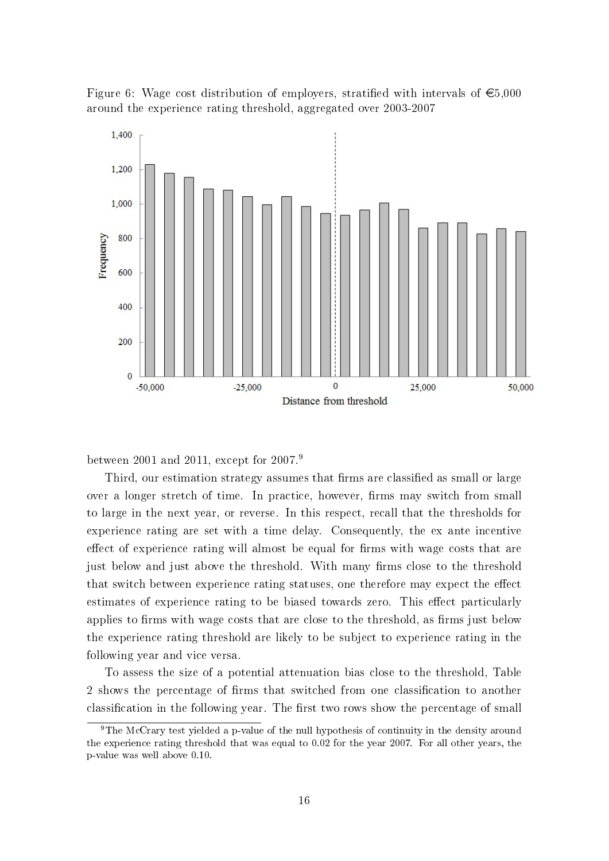



between 2001 and 2011, except for 2007.<sup>9</sup>

Third, our estimation strategy assumes that firms are classified as small or large over a longer stretch of time. In practice, however, firms may switch from small to large in the next year, or reverse. In this respect, recall that the thresholds for experience rating are set with a time delay. Consequently, the ex ante incentive effect of experience rating will almost be equal for firms with wage costs that are just below and just above the threshold. With many firms close to the threshold that switch between experience rating statuses, one therefore may expect the effect estimates of experience rating to be biased towards zero. This effect particularly applies to firms with wage costs that are close to the threshold, as firms just below the experience rating threshold are likely to be subject to experience rating in the following year and vice versa.

To assess the size of a potential attenuation bias close to the threshold, Table 2 shows the percentage of firms that switched from one classification to another classification in the following year. The first two rows show the percentage of small

<sup>&</sup>lt;sup>9</sup>The McCrary test yielded a p-value of the null hypothesis of continuity in the density around the experience rating threshold that was equal to 0.02 for the year 2007. For all other years, the p-value was well above 0.10.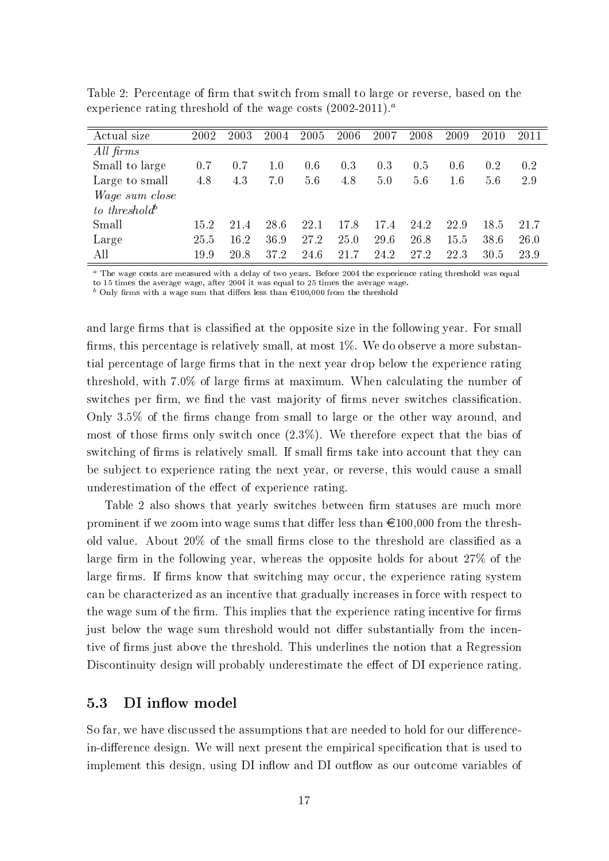| Actual size               | 2002 | 2003 | 2004 | 2005 | 2006 | 2007 | 2008 | 2009    | 2010 | 2011 |
|---------------------------|------|------|------|------|------|------|------|---------|------|------|
| All firms                 |      |      |      |      |      |      |      |         |      |      |
| Small to large            | 0.7  | 0.7  | 1.0  | 0.6  | 0.3  | 0.3  | 0.5  | 0.6     | 0.2  | 0.2  |
| Large to small            | 4.8  | 4.3  | 7.0  | 5.6  | 4.8  | 5.0  | 5.6  | $1.6\,$ | 5.6  | 2.9  |
| <i>Wage sum close</i>     |      |      |      |      |      |      |      |         |      |      |
| to threshold <sup>b</sup> |      |      |      |      |      |      |      |         |      |      |
| Small                     | 15.2 | 21.4 | 28.6 | 22.1 | 17.8 | 17.4 | 24.2 | 22.9    | 18.5 | 21.7 |
| Large                     | 25.5 | 16.2 | 36.9 | 27.2 | 25.0 | 29.6 | 26.8 | 15.5    | 38.6 | 26.0 |
| All                       | 19.9 | 20.8 | 37.2 | 24.6 | 21.7 | 24.2 | 27.2 | 22.3    | 30.5 | 23.9 |

Table 2: Percentage of firm that switch from small to large or reverse, based on the experience rating threshold of the wage costs  $(2002-2011)^a$ .

<sup>a</sup> The wage costs are measured with a delay of two years. Before 2004 the experience rating threshold was equal

to 15 times the average wage, after 2004 it was equal to 25 times the average wage.<br><sup>b</sup> Only firms with a wage sum that differs less than  $\in$ 100,000 from the threshold

and large firms that is classified at the opposite size in the following year. For small firms, this percentage is relatively small, at most  $1\%$ . We do observe a more substantial percentage of large firms that in the next year drop below the experience rating threshold, with  $7.0\%$  of large firms at maximum. When calculating the number of switches per firm, we find the vast majority of firms never switches classification. Only  $3.5\%$  of the firms change from small to large or the other way around, and most of those firms only switch once  $(2.3\%)$ . We therefore expect that the bias of switching of firms is relatively small. If small firms take into account that they can be subject to experience rating the next year, or reverse, this would cause a small underestimation of the effect of experience rating.

Table 2 also shows that yearly switches between firm statuses are much more prominent if we zoom into wage sums that differ less than  $\epsilon$ 100,000 from the threshold value. About  $20\%$  of the small firms close to the threshold are classified as a large firm in the following year, whereas the opposite holds for about  $27\%$  of the large firms. If firms know that switching may occur, the experience rating system can be characterized as an incentive that gradually increases in force with respect to the wage sum of the firm. This implies that the experience rating incentive for firms just below the wage sum threshold would not differ substantially from the incentive of firms just above the threshold. This underlines the notion that a Regression Discontinuity design will probably underestimate the effect of DI experience rating.

#### 5.3 DI inflow model

So far, we have discussed the assumptions that are needed to hold for our differencein-difference design. We will next present the empirical specification that is used to implement this design, using DI inflow and DI outflow as our outcome variables of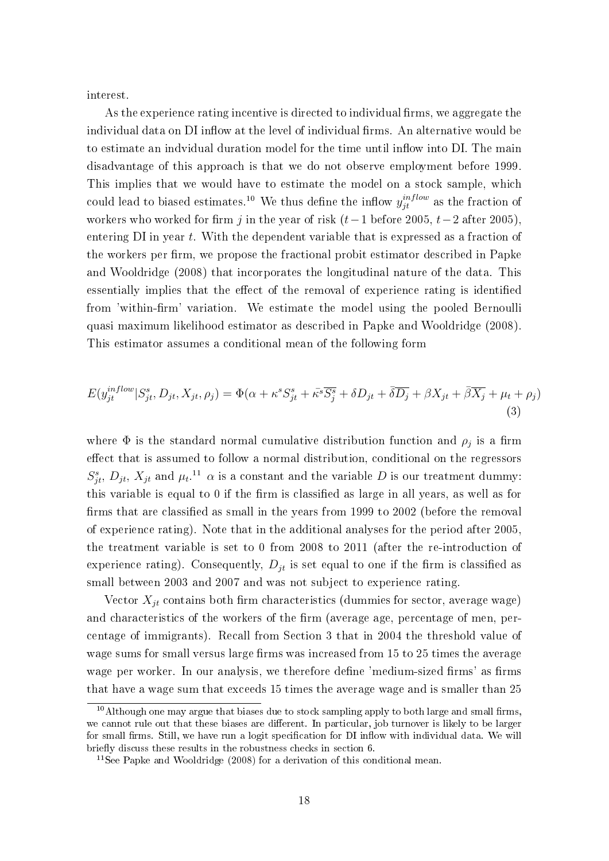interest.

As the experience rating incentive is directed to individual firms, we aggregate the individual data on DI inflow at the level of individual firms. An alternative would be to estimate an indvidual duration model for the time until inflow into DI. The main disadvantage of this approach is that we do not observe employment before 1999. This implies that we would have to estimate the model on a stock sample, which could lead to biased estimates.<sup>10</sup> We thus define the inflow  $y_{jt}^{inflow}$  as the fraction of workers who worked for firm j in the year of risk  $(t-1)$  before 2005,  $t-2$  after 2005). entering DI in year t. With the dependent variable that is expressed as a fraction of the workers per firm, we propose the fractional probit estimator described in Papke and Wooldridge (2008) that incorporates the longitudinal nature of the data. This essentially implies that the effect of the removal of experience rating is identified from 'within-firm' variation. We estimate the model using the pooled Bernoulli quasi maximum likelihood estimator as described in Papke and Wooldridge (2008). This estimator assumes a conditional mean of the following form

$$
E(y_{jt}^{inflow}|S_{jt}^s, D_{jt}, X_{jt}, \rho_j) = \Phi(\alpha + \kappa^s S_{jt}^s + \bar{\kappa}^s \overline{S_j^s} + \delta D_{jt} + \bar{\delta} \overline{D_j} + \beta X_{jt} + \bar{\beta} \overline{X_j} + \mu_t + \rho_j)
$$
\n(3)

where  $\Phi$  is the standard normal cumulative distribution function and  $\rho_j$  is a firm effect that is assumed to follow a normal distribution, conditional on the regressors  $S_{jt}^s$ ,  $D_{jt}$ ,  $X_{jt}$  and  $\mu_t$ .<sup>11</sup>  $\alpha$  is a constant and the variable D is our treatment dummy: this variable is equal to  $0$  if the firm is classified as large in all years, as well as for firms that are classified as small in the years from 1999 to 2002 (before the removal of experience rating). Note that in the additional analyses for the period after 2005, the treatment variable is set to 0 from 2008 to 2011 (after the re-introduction of experience rating). Consequently,  $D_{it}$  is set equal to one if the firm is classified as small between 2003 and 2007 and was not subject to experience rating.

Vector  $X_{it}$  contains both firm characteristics (dummies for sector, average wage) and characteristics of the workers of the firm (average age, percentage of men, percentage of immigrants). Recall from Section 3 that in 2004 the threshold value of wage sums for small versus large firms was increased from 15 to 25 times the average wage per worker. In our analysis, we therefore define 'medium-sized firms' as firms that have a wage sum that exceeds 15 times the average wage and is smaller than 25

 $10$ Although one may argue that biases due to stock sampling apply to both large and small firms. we cannot rule out that these biases are different. In particular, job turnover is likely to be larger for small firms. Still, we have run a logit specification for DI inflow with individual data. We will briefly discuss these results in the robustness checks in section 6.

<sup>11</sup>See Papke and Wooldridge (2008) for a derivation of this conditional mean.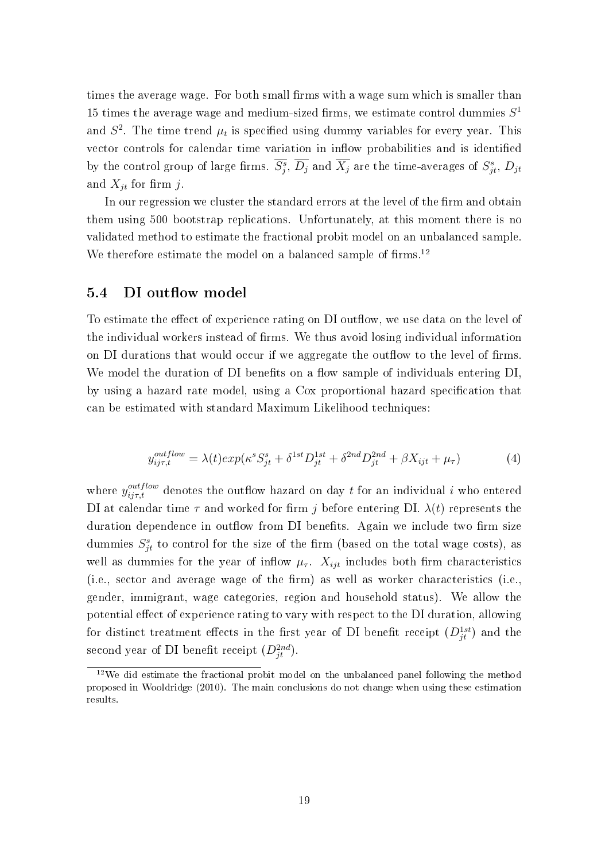times the average wage. For both small firms with a wage sum which is smaller than 15 times the average wage and medium-sized firms, we estimate control dummies  $S<sup>1</sup>$ and  $S^2$ . The time trend  $\mu_t$  is specified using dummy variables for every year. This vector controls for calendar time variation in inflow probabilities and is identified by the control group of large firms.  $\overline{S_j^s}$ ,  $\overline{D_j}$  and  $\overline{X_j}$  are the time-averages of  $S_{jt}^s$ ,  $D_{jt}$ and  $X_{it}$  for firm j.

In our regression we cluster the standard errors at the level of the firm and obtain them using 500 bootstrap replications. Unfortunately, at this moment there is no validated method to estimate the fractional probit model on an unbalanced sample. We therefore estimate the model on a balanced sample of firms.<sup>12</sup>

#### 5.4 DI outflow model

To estimate the effect of experience rating on DI outflow, we use data on the level of the individual workers instead of firms. We thus avoid losing individual information on DI durations that would occur if we aggregate the outflow to the level of firms. We model the duration of DI benefits on a flow sample of individuals entering DI. by using a hazard rate model, using a Cox proportional hazard specification that can be estimated with standard Maximum Likelihood techniques:

$$
y_{ij\tau,t}^{outflow} = \lambda(t)exp(\kappa^s S_{jt}^s + \delta^{1st} D_{jt}^{1st} + \delta^{2nd} D_{jt}^{2nd} + \beta X_{ijt} + \mu_\tau)
$$
(4)

where  $y_{ij\tau,t}^{outflow}$  denotes the outflow hazard on day t for an individual i who entered DI at calendar time  $\tau$  and worked for firm j before entering DI.  $\lambda(t)$  represents the duration dependence in outflow from DI benefits. Again we include two firm size dummies  $S_{jt}^s$  to control for the size of the firm (based on the total wage costs), as well as dummies for the year of inflow  $\mu_{\tau}$ .  $X_{ijt}$  includes both firm characteristics  $(i.e., sector and average wage of the firm)$  as well as worker characteristics  $(i.e.,$ gender, immigrant, wage categories, region and household status). We allow the potential effect of experience rating to vary with respect to the DI duration, allowing for distinct treatment effects in the first year of DI benefit receipt  $(D_{jt}^{1st})$  and the second year of DI benefit receipt  $(D_{jt}^{2nd})$ .

 $12$ We did estimate the fractional probit model on the unbalanced panel following the method proposed in Wooldridge (2010). The main conclusions do not change when using these estimation results.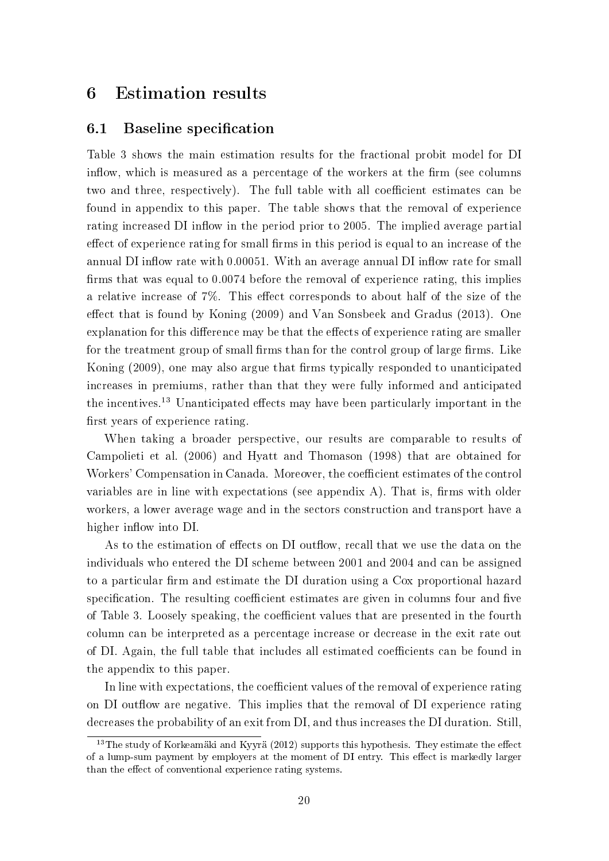# 6 Estimation results

#### 6.1 Baseline specification

Table 3 shows the main estimation results for the fractional probit model for DI inflow, which is measured as a percentage of the workers at the firm (see columns two and three, respectively). The full table with all coefficient estimates can be found in appendix to this paper. The table shows that the removal of experience rating increased DI inflow in the period prior to 2005. The implied average partial effect of experience rating for small firms in this period is equal to an increase of the annual DI inflow rate with 0.00051. With an average annual DI inflow rate for small firms that was equal to  $0.0074$  before the removal of experience rating, this implies a relative increase of  $7\%$ . This effect corresponds to about half of the size of the effect that is found by Koning  $(2009)$  and Van Sonsbeek and Gradus  $(2013)$ . One explanation for this difference may be that the effects of experience rating are smaller for the treatment group of small firms than for the control group of large firms. Like Koning (2009), one may also argue that firms typically responded to unanticipated increases in premiums, rather than that they were fully informed and anticipated the incentives.<sup>13</sup> Unanticipated effects may have been particularly important in the first years of experience rating.

When taking a broader perspective, our results are comparable to results of Campolieti et al. (2006) and Hyatt and Thomason (1998) that are obtained for Workers' Compensation in Canada. Moreover, the coefficient estimates of the control variables are in line with expectations (see appendix A). That is, firms with older workers, a lower average wage and in the sectors construction and transport have a higher inflow into DI.

As to the estimation of effects on DI outflow, recall that we use the data on the individuals who entered the DI scheme between 2001 and 2004 and can be assigned to a particular firm and estimate the DI duration using a Cox proportional hazard specification. The resulting coefficient estimates are given in columns four and five of Table 3. Loosely speaking, the coefficient values that are presented in the fourth column can be interpreted as a percentage increase or decrease in the exit rate out of DI. Again, the full table that includes all estimated coefficients can be found in the appendix to this paper.

In line with expectations, the coefficient values of the removal of experience rating on DI outflow are negative. This implies that the removal of DI experience rating decreases the probability of an exit from DI, and thus increases the DI duration. Still,

 $13$ The study of Korkeamäki and Kyyrä (2012) supports this hypothesis. They estimate the effect of a lump-sum payment by employers at the moment of DI entry. This effect is markedly larger than the effect of conventional experience rating systems.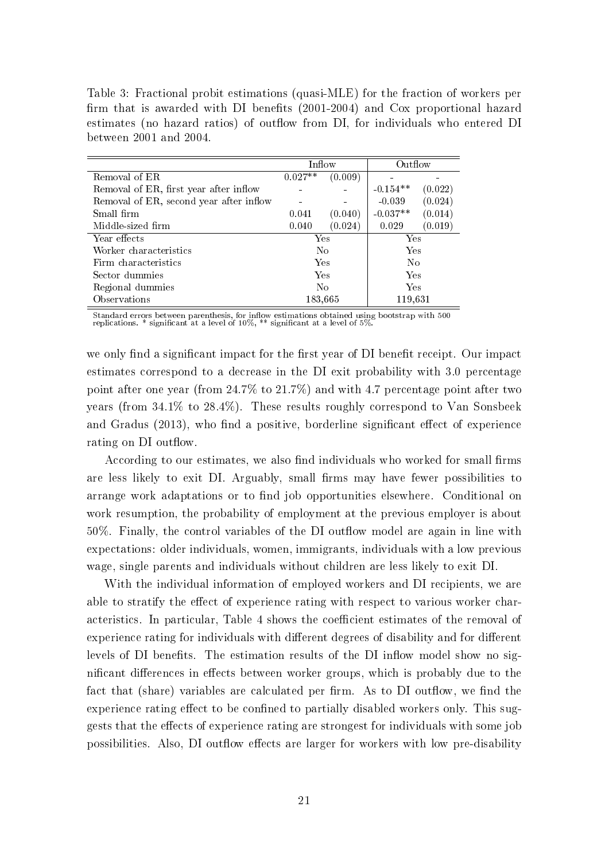Table 3: Fractional probit estimations (quasi-MLE) for the fraction of workers per firm that is awarded with DI benefits  $(2001-2004)$  and Cox proportional hazard estimates (no hazard ratios) of outflow from DI, for individuals who entered DI between 2001 and 2004.

|                                         | Inflow         |         | Outflow    |                |
|-----------------------------------------|----------------|---------|------------|----------------|
| Removal of $E\overline{R}$              | $0.027**$      | (0.009) |            |                |
| Removal of ER, first year after inflow  |                |         | $-0.154**$ | (0.022)        |
| Removal of ER, second year after inflow |                |         | $-0.039$   | (0.024)        |
| Small firm                              | 0.041          | (0.040) | $-0.037**$ | (0.014)        |
| Middle-sized firm                       | 0.040          | (0.024) | 0.029      | (0.019)        |
| Year effects                            | Yes            |         | Yes        |                |
| Worker characteristics                  | N <sub>0</sub> |         | Yes        |                |
| Firm characteristics                    |                | Yes     |            | N <sub>0</sub> |
| Sector dummies                          | Yes            |         | Yes        |                |
| Regional dummies                        | N <sub>0</sub> |         | Yes        |                |
| Observations                            |                | 183,665 | 119,631    |                |

Standard errors between parenthesis, for inflow estimations obtained using bootstrap with 500<br>replications. \* significant at a level of 10%, \*\* significant at a level of 5%.

we only find a significant impact for the first year of DI benefit receipt. Our impact estimates correspond to a decrease in the DI exit probability with 3.0 percentage point after one year (from  $24.7\%$  to  $21.7\%$ ) and with 4.7 percentage point after two years (from 34.1% to 28.4%). These results roughly correspond to Van Sonsbeek and Gradus  $(2013)$ , who find a positive, borderline significant effect of experience rating on DI outflow.

According to our estimates, we also find individuals who worked for small firms are less likely to exit DI. Arguably, small firms may have fewer possibilities to arrange work adaptations or to find job opportunities elsewhere. Conditional on work resumption, the probability of employment at the previous employer is about  $50\%$ . Finally, the control variables of the DI outflow model are again in line with expectations: older individuals, women, immigrants, individuals with a low previous wage, single parents and individuals without children are less likely to exit DI.

With the individual information of employed workers and DI recipients, we are able to stratify the effect of experience rating with respect to various worker characteristics. In particular, Table 4 shows the coefficient estimates of the removal of experience rating for individuals with different degrees of disability and for different levels of DI benefits. The estimation results of the DI inflow model show no significant differences in effects between worker groups, which is probably due to the fact that (share) variables are calculated per firm. As to DI outflow, we find the experience rating effect to be confined to partially disabled workers only. This suggests that the effects of experience rating are strongest for individuals with some job possibilities. Also, DI outflow effects are larger for workers with low pre-disability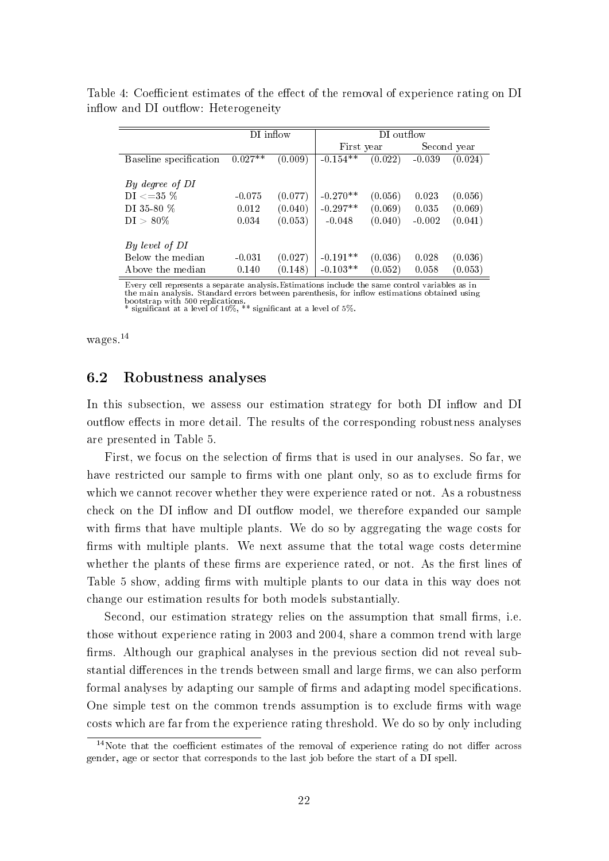|                        | DI inflow             |         | DI outflow |         |             |         |  |  |
|------------------------|-----------------------|---------|------------|---------|-------------|---------|--|--|
|                        |                       |         | First year |         | Second year |         |  |  |
| Baseline specification | $0.027***$<br>(0.009) |         | $-0.154**$ | (0.022) | $-0.039$    | (0.024) |  |  |
|                        |                       |         |            |         |             |         |  |  |
| By degree of DI        |                       |         |            |         |             |         |  |  |
| $\mathrm{DI}<=35\,$ %  | $-0.075$              | (0.077) | $-0.270**$ | (0.056) | 0.023       | (0.056) |  |  |
| DI 35-80 %             | 0.012                 | (0.040) | $-0.297**$ | (0.069) | 0.035       | (0.069) |  |  |
| $DI > 80\%$            | 0.034                 | (0.053) | $-0.048$   | (0.040) | $-0.002$    | (0.041) |  |  |
|                        |                       |         |            |         |             |         |  |  |
| By level of DI         |                       |         |            |         |             |         |  |  |
| Below the median       | $-0.031$              | (0.027) | $-0.191**$ | (0.036) | 0.028       | (0.036) |  |  |
| Above the median       | 0.140                 | (0.148) | $-0.103**$ | (0.052) | 0.058       | (0.053) |  |  |

Table 4: Coefficient estimates of the effect of the removal of experience rating on DI inflow and DI outflow: Heterogeneity

Every cell represents a separate analysis.Estimations include the same control variables as in the main analysis. Standard errors between parenthesis, for inflow estimations obtained using<br>bootstrap with 500 replications.<br>\* significant at a level of 10%, \*\* significant at a level of 5%.

wages.<sup>14</sup>

#### 6.2 Robustness analyses

In this subsection, we assess our estimation strategy for both DI inflow and DI out flow effects in more detail. The results of the corresponding robustness analyses are presented in Table 5.

First, we focus on the selection of firms that is used in our analyses. So far, we have restricted our sample to firms with one plant only, so as to exclude firms for which we cannot recover whether they were experience rated or not. As a robustness check on the DI inflow and DI outflow model, we therefore expanded our sample with firms that have multiple plants. We do so by aggregating the wage costs for firms with multiple plants. We next assume that the total wage costs determine whether the plants of these firms are experience rated, or not. As the first lines of Table 5 show, adding firms with multiple plants to our data in this way does not change our estimation results for both models substantially.

Second, our estimation strategy relies on the assumption that small firms, i.e. those without experience rating in 2003 and 2004, share a common trend with large firms. Although our graphical analyses in the previous section did not reveal substantial differences in the trends between small and large firms, we can also perform formal analyses by adapting our sample of firms and adapting model specifications. One simple test on the common trends assumption is to exclude firms with wage costs which are far from the experience rating threshold. We do so by only including

 $14$ Note that the coefficient estimates of the removal of experience rating do not differ across gender, age or sector that corresponds to the last job before the start of a DI spell.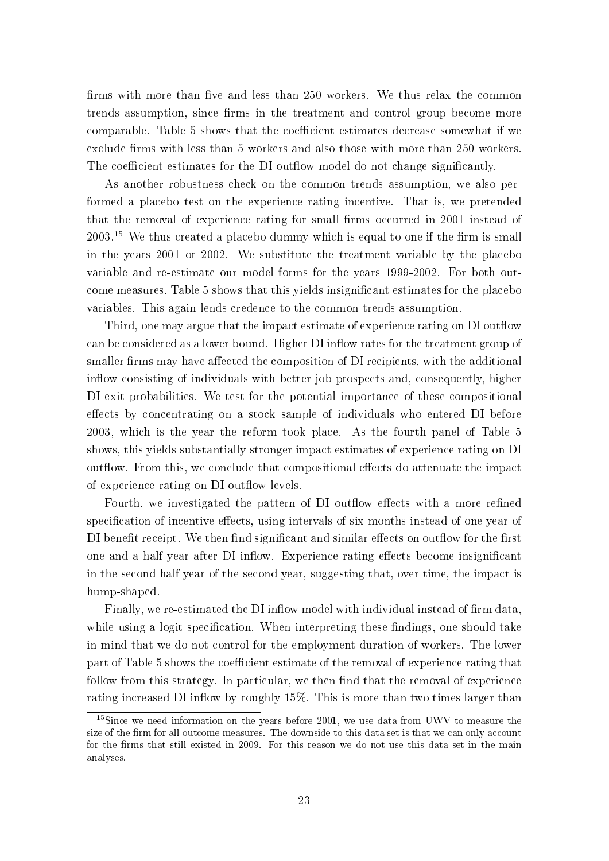firms with more than five and less than 250 workers. We thus relax the common trends assumption, since firms in the treatment and control group become more comparable. Table 5 shows that the coefficient estimates decrease somewhat if we exclude firms with less than 5 workers and also those with more than 250 workers. The coefficient estimates for the DI outflow model do not change significantly.

As another robustness check on the common trends assumption, we also performed a placebo test on the experience rating incentive. That is, we pretended that the removal of experience rating for small firms occurred in 2001 instead of  $2003<sup>15</sup>$  We thus created a placebo dummy which is equal to one if the firm is small in the years 2001 or 2002. We substitute the treatment variable by the placebo variable and re-estimate our model forms for the years 1999-2002. For both outcome measures, Table 5 shows that this yields insignicant estimates for the placebo variables. This again lends credence to the common trends assumption.

Third, one may argue that the impact estimate of experience rating on DI outflow can be considered as a lower bound. Higher DI inflow rates for the treatment group of smaller firms may have affected the composition of DI recipients, with the additional inflow consisting of individuals with better job prospects and, consequently, higher DI exit probabilities. We test for the potential importance of these compositional effects by concentrating on a stock sample of individuals who entered DI before 2003, which is the year the reform took place. As the fourth panel of Table 5 shows, this yields substantially stronger impact estimates of experience rating on DI out flow. From this, we conclude that compositional effects do attenuate the impact of experience rating on DI outflow levels.

Fourth, we investigated the pattern of DI outflow effects with a more refined specification of incentive effects, using intervals of six months instead of one year of DI benefit receipt. We then find significant and similar effects on outflow for the first one and a half year after DI inflow. Experience rating effects become insignificant in the second half year of the second year, suggesting that, over time, the impact is hump-shaped.

Finally, we re-estimated the DI inflow model with individual instead of firm data. while using a logit specification. When interpreting these findings, one should take in mind that we do not control for the employment duration of workers. The lower part of Table 5 shows the coefficient estimate of the removal of experience rating that follow from this strategy. In particular, we then find that the removal of experience rating increased DI inflow by roughly  $15\%$ . This is more than two times larger than

<sup>&</sup>lt;sup>15</sup>Since we need information on the years before 2001, we use data from UWV to measure the size of the firm for all outcome measures. The downside to this data set is that we can only account for the firms that still existed in 2009. For this reason we do not use this data set in the main analyses.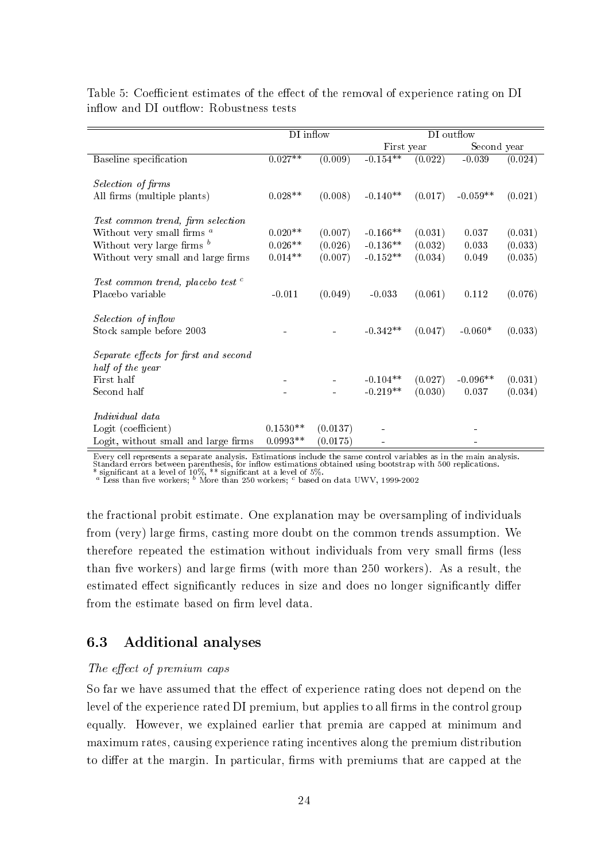|                                              | DI inflow  |          | DI outflow |         |             |         |  |
|----------------------------------------------|------------|----------|------------|---------|-------------|---------|--|
|                                              |            |          | First year |         | Second year |         |  |
| Baseline specification                       | $0.027**$  | (0.009)  | $-0.154**$ | (0.022) | $-0.039$    | (0.024) |  |
|                                              |            |          |            |         |             |         |  |
| Selection of firms                           |            |          |            |         |             |         |  |
| All firms (multiple plants)                  | $0.028**$  | (0.008)  | $-0.140**$ | (0.017) | $-0.059**$  | (0.021) |  |
| Test common trend, firm selection            |            |          |            |         |             |         |  |
| Without very small firms $^a$                | $0.020**$  | (0.007)  | $-0.166**$ | (0.031) | 0.037       | (0.031) |  |
| Without very large firms $^b$                | $0.026**$  | (0.026)  | $-0.136**$ | (0.032) | 0.033       | (0.033) |  |
| Without very small and large firms           | $0.014**$  | (0.007)  | $-0.152**$ | (0.034) | 0.049       | (0.035) |  |
|                                              |            |          |            |         |             |         |  |
| Test common trend, placebo test <sup>c</sup> |            |          |            |         |             |         |  |
| Placebo variable                             | $-0.011$   | (0.049)  | $-0.033$   | (0.061) | 0.112       | (0.076) |  |
|                                              |            |          |            |         |             |         |  |
| Selection of inflow                          |            |          |            |         |             |         |  |
| Stock sample before 2003                     |            |          | $-0.342**$ | (0.047) | $-0.060*$   | (0.033) |  |
|                                              |            |          |            |         |             |         |  |
| Separate effects for first and second        |            |          |            |         |             |         |  |
| half of the year                             |            |          |            |         |             |         |  |
| First half                                   |            |          | $-0.104**$ | (0.027) | $-0.096**$  | (0.031) |  |
| Second half                                  |            |          | $-0.219**$ | (0.030) | 0.037       | (0.034) |  |
|                                              |            |          |            |         |             |         |  |
| Individual data                              |            |          |            |         |             |         |  |
| Logit (coefficient)                          | $0.1530**$ | (0.0137) |            |         |             |         |  |
| Logit, without small and large firms         | $0.0993**$ | (0.0175) |            |         |             |         |  |

Table 5: Coefficient estimates of the effect of the removal of experience rating on DI inflow and DI outflow: Robustness tests

Every cell represents a separate analysis. Estimations include the same control variables as in the main analysis.<br>Standard errors between parenthesis, for inflow estimations obtained using bootstrap with 500 replications.

\* significant at a level of  $10\%$ , \*\* significant at a level of 5%.<br><sup>a</sup> Less than five workers; <sup>b</sup> More than 250 workers; <sup>c</sup> based on data UWV, 1999-2002

the fractional probit estimate. One explanation may be oversampling of individuals from (very) large firms, casting more doubt on the common trends assumption. We therefore repeated the estimation without individuals from very small firms (less than five workers) and large firms (with more than 250 workers). As a result, the estimated effect significantly reduces in size and does no longer significantly differ from the estimate based on firm level data.

#### 6.3 Additional analyses

#### The effect of premium caps

So far we have assumed that the effect of experience rating does not depend on the level of the experience rated DI premium, but applies to all firms in the control group equally. However, we explained earlier that premia are capped at minimum and maximum rates, causing experience rating incentives along the premium distribution to differ at the margin. In particular, firms with premiums that are capped at the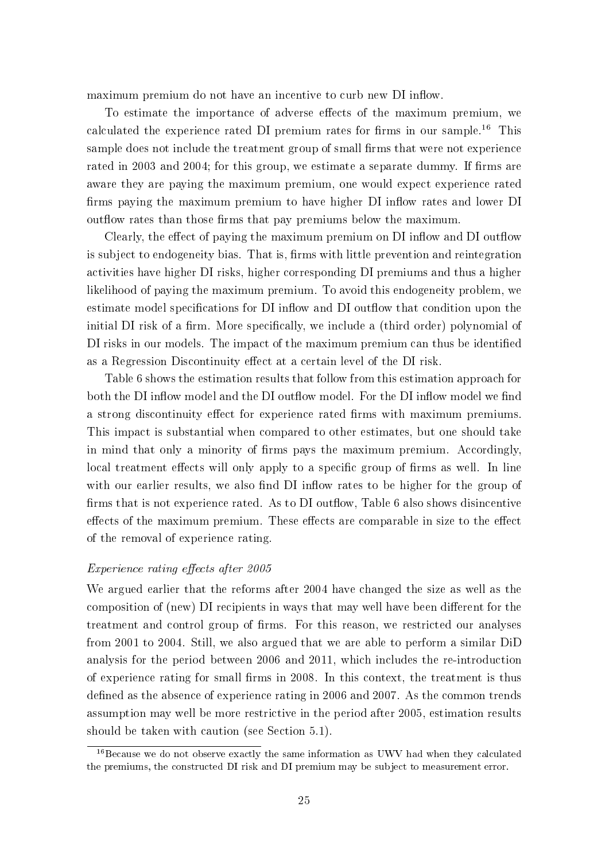maximum premium do not have an incentive to curb new DI inflow.

To estimate the importance of adverse effects of the maximum premium, we calculated the experience rated DI premium rates for firms in our sample.<sup>16</sup> This sample does not include the treatment group of small firms that were not experience rated in 2003 and 2004; for this group, we estimate a separate dummy. If firms are aware they are paying the maximum premium, one would expect experience rated firms paying the maximum premium to have higher DI inflow rates and lower DI out flow rates than those firms that pay premiums below the maximum.

Clearly, the effect of paying the maximum premium on DI inflow and DI outflow is subject to endogeneity bias. That is, firms with little prevention and reintegration activities have higher DI risks, higher corresponding DI premiums and thus a higher likelihood of paying the maximum premium. To avoid this endogeneity problem, we estimate model specifications for DI inflow and DI outflow that condition upon the initial DI risk of a firm. More specifically, we include a (third order) polynomial of DI risks in our models. The impact of the maximum premium can thus be identified as a Regression Discontinuity effect at a certain level of the DI risk.

Table 6 shows the estimation results that follow from this estimation approach for both the DI inflow model and the DI outflow model. For the DI inflow model we find a strong discontinuity effect for experience rated firms with maximum premiums. This impact is substantial when compared to other estimates, but one should take in mind that only a minority of firms pays the maximum premium. Accordingly, local treatment effects will only apply to a specific group of firms as well. In line with our earlier results, we also find DI inflow rates to be higher for the group of firms that is not experience rated. As to DI outflow, Table 6 also shows disincentive effects of the maximum premium. These effects are comparable in size to the effect of the removal of experience rating.

#### Experience rating effects after 2005

We argued earlier that the reforms after 2004 have changed the size as well as the composition of (new) DI recipients in ways that may well have been different for the treatment and control group of firms. For this reason, we restricted our analyses from 2001 to 2004. Still, we also argued that we are able to perform a similar DiD analysis for the period between 2006 and 2011, which includes the re-introduction of experience rating for small firms in 2008. In this context, the treatment is thus defined as the absence of experience rating in 2006 and 2007. As the common trends assumption may well be more restrictive in the period after 2005, estimation results should be taken with caution (see Section 5.1).

<sup>&</sup>lt;sup>16</sup>Because we do not observe exactly the same information as UWV had when they calculated the premiums, the constructed DI risk and DI premium may be subject to measurement error.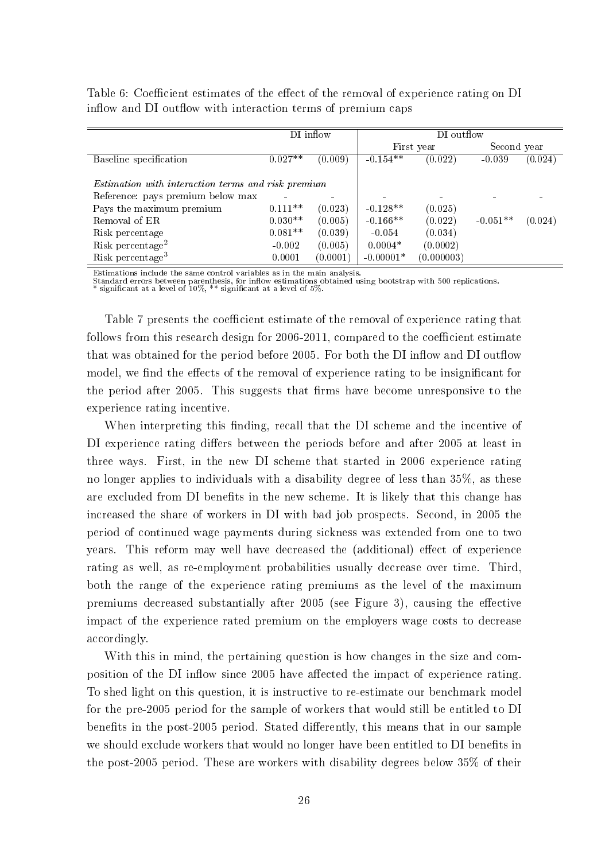|                                                           |           | DI inflow | DI outflow  |            |             |         |  |
|-----------------------------------------------------------|-----------|-----------|-------------|------------|-------------|---------|--|
|                                                           |           |           |             | First year | Second year |         |  |
| Baseline specification                                    | $0.027**$ | (0.009)   | $-0.154**$  | (0.022)    | $-0.039$    | (0.024) |  |
|                                                           |           |           |             |            |             |         |  |
| <i>Estimation with interaction terms and risk premium</i> |           |           |             |            |             |         |  |
| Reference: pays premium below max                         |           |           |             |            |             |         |  |
| Pays the maximum premium                                  | $0.111**$ | (0.023)   | $-0.128**$  | (0.025)    |             |         |  |
| Removal of ER                                             | $0.030**$ | (0.005)   | $-0.166**$  | (0.022)    | $-0.051**$  | (0.024) |  |
| Risk percentage                                           | $0.081**$ | (0.039)   | $-0.054$    | (0.034)    |             |         |  |
| Risk percentage <sup>2</sup>                              | $-0.002$  | (0.005)   | $0.0004*$   | (0.0002)   |             |         |  |
| Risk percentage <sup>3</sup>                              | 0.0001    | (0.0001)  | $-0.00001*$ | (0.000003) |             |         |  |

Table 6: Coefficient estimates of the effect of the removal of experience rating on DI inflow and DI outflow with interaction terms of premium caps

Estimations include the same control variables as in the main analysis.

Standard errors between parenthesis, for inflow estimations obtained using bootstrap with 500 replications.<br>\* significant at a level of 10%, \*\* significant at a level of 5%.

Table 7 presents the coefficient estimate of the removal of experience rating that follows from this research design for  $2006-2011$ , compared to the coefficient estimate that was obtained for the period before 2005. For both the DI inflow and DI outflow model, we find the effects of the removal of experience rating to be insignificant for the period after 2005. This suggests that firms have become unresponsive to the experience rating incentive.

When interpreting this finding, recall that the DI scheme and the incentive of DI experience rating differs between the periods before and after 2005 at least in three ways. First, in the new DI scheme that started in 2006 experience rating no longer applies to individuals with a disability degree of less than 35%, as these are excluded from DI benefits in the new scheme. It is likely that this change has increased the share of workers in DI with bad job prospects. Second, in 2005 the period of continued wage payments during sickness was extended from one to two years. This reform may well have decreased the (additional) effect of experience rating as well, as re-employment probabilities usually decrease over time. Third, both the range of the experience rating premiums as the level of the maximum premiums decreased substantially after 2005 (see Figure 3), causing the effective impact of the experience rated premium on the employers wage costs to decrease accordingly.

With this in mind, the pertaining question is how changes in the size and composition of the DI inflow since 2005 have affected the impact of experience rating. To shed light on this question, it is instructive to re-estimate our benchmark model for the pre-2005 period for the sample of workers that would still be entitled to DI benefits in the post-2005 period. Stated differently, this means that in our sample we should exclude workers that would no longer have been entitled to DI benefits in the post-2005 period. These are workers with disability degrees below 35% of their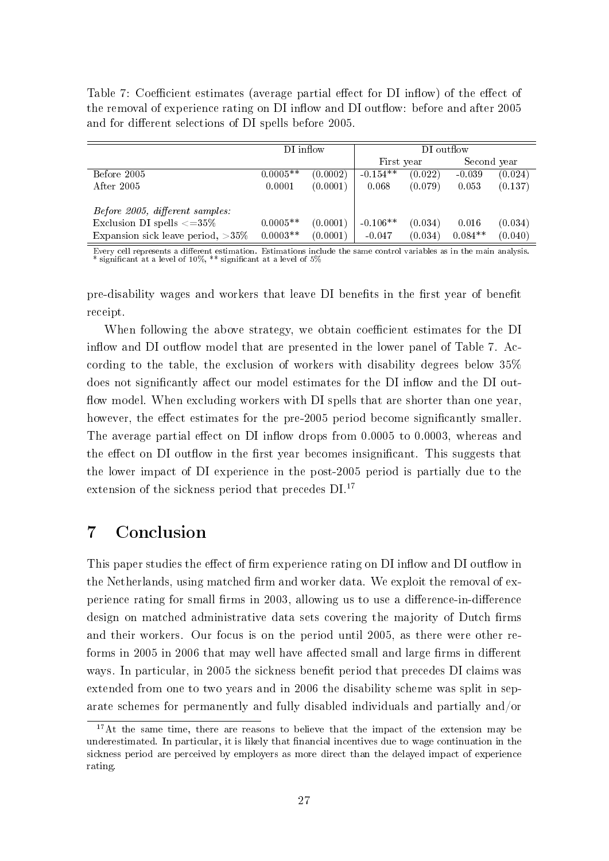Table 7: Coefficient estimates (average partial effect for DI inflow) of the effect of the removal of experience rating on DI inflow and DI outflow: before and after 2005 and for different selections of DI spells before 2005.

|                                        | DI inflow  |          | DI outflow |         |             |         |  |
|----------------------------------------|------------|----------|------------|---------|-------------|---------|--|
|                                        |            |          | First year |         | Second year |         |  |
| Before 2005                            | $0.0005**$ | (0.0002) | $-0.154**$ | (0.022) | $-0.039$    | (0.024) |  |
| After 2005                             | 0.0001     | (0.0001) | 0.068      | (0.079) | 0.053       | (0.137) |  |
|                                        |            |          |            |         |             |         |  |
| <i>Before 2005, different samples:</i> |            |          |            |         |             |         |  |
| Exclusion DI spells $\langle =35\%$    | $0.0005**$ | (0.0001) | $-0.106**$ | (0.034) | 0.016       | (0.034) |  |
| Expansion sick leave period, $>35\%$   | $0.0003**$ | (0.0001) | $-0.047$   | (0.034) | $0.084**$   | (0.040) |  |

Every cell represents a different estimation. Estimations include the same control variables as in the main analysis.<br>\* significant at a level of 10%, \*\* significant at a level of 5%

pre-disability wages and workers that leave DI benefits in the first year of benefit receipt.

When following the above strategy, we obtain coefficient estimates for the DI inflow and DI outflow model that are presented in the lower panel of Table 7. According to the table, the exclusion of workers with disability degrees below 35% does not significantly affect our model estimates for the DI inflow and the DI outflow model. When excluding workers with DI spells that are shorter than one year however, the effect estimates for the pre-2005 period become significantly smaller. The average partial effect on DI inflow drops from  $0.0005$  to  $0.0003$ , whereas and the effect on DI outflow in the first year becomes insignificant. This suggests that the lower impact of DI experience in the post-2005 period is partially due to the extension of the sickness period that precedes  $DI$ .<sup>17</sup>

# 7 Conclusion

This paper studies the effect of firm experience rating on DI inflow and DI outflow in the Netherlands, using matched firm and worker data. We exploit the removal of experience rating for small firms in 2003, allowing us to use a difference-in-difference design on matched administrative data sets covering the majority of Dutch firms and their workers. Our focus is on the period until 2005, as there were other reforms in 2005 in 2006 that may well have affected small and large firms in different ways. In particular, in 2005 the sickness benefit period that precedes DI claims was extended from one to two years and in 2006 the disability scheme was split in separate schemes for permanently and fully disabled individuals and partially and/or

 $17$ At the same time, there are reasons to believe that the impact of the extension may be underestimated. In particular, it is likely that financial incentives due to wage continuation in the sickness period are perceived by employers as more direct than the delayed impact of experience rating.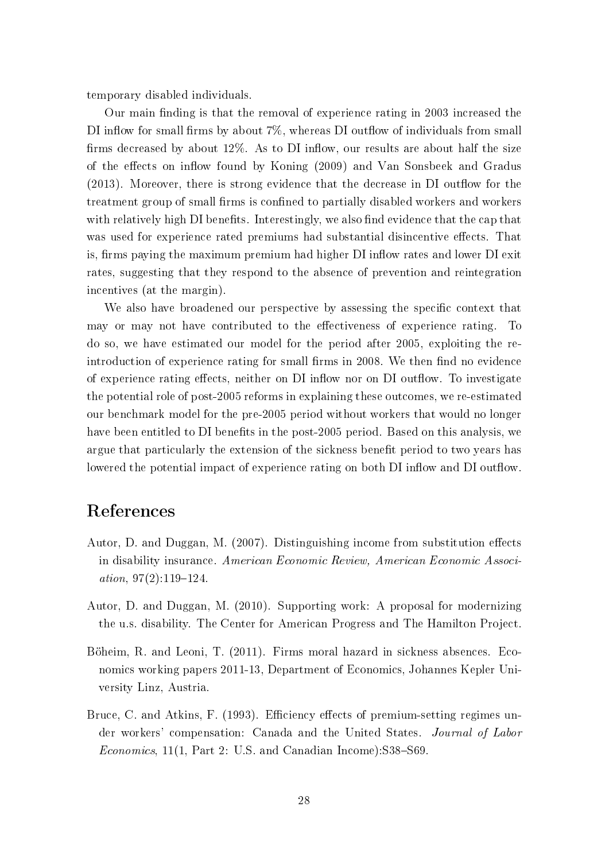temporary disabled individuals.

Our main finding is that the removal of experience rating in 2003 increased the DI inflow for small firms by about  $7\%$ , whereas DI outflow of individuals from small firms decreased by about  $12\%$ . As to DI inflow, our results are about half the size of the effects on inflow found by Koning (2009) and Van Sonsbeek and Gradus  $(2013)$ . Moreover, there is strong evidence that the decrease in DI outflow for the treatment group of small firms is confined to partially disabled workers and workers with relatively high DI benefits. Interestingly, we also find evidence that the cap that was used for experience rated premiums had substantial disincentive effects. That is, firms paying the maximum premium had higher DI inflow rates and lower DI exit rates, suggesting that they respond to the absence of prevention and reintegration incentives (at the margin).

We also have broadened our perspective by assessing the specific context that may or may not have contributed to the effectiveness of experience rating. To do so, we have estimated our model for the period after 2005, exploiting the reintroduction of experience rating for small firms in 2008. We then find no evidence of experience rating effects, neither on DI inflow nor on DI outflow. To investigate the potential role of post-2005 reforms in explaining these outcomes, we re-estimated our benchmark model for the pre-2005 period without workers that would no longer have been entitled to DI benefits in the post-2005 period. Based on this analysis, we argue that particularly the extension of the sickness benefit period to two years has lowered the potential impact of experience rating on both DI inflow and DI outflow.

# References

- Autor, D. and Duggan, M. (2007). Distinguishing income from substitution effects in disability insurance. American Economic Review, American Economic Association,  $97(2):119-124$ .
- Autor, D. and Duggan, M. (2010). Supporting work: A proposal for modernizing the u.s. disability. The Center for American Progress and The Hamilton Project.
- Böheim, R. and Leoni, T. (2011). Firms moral hazard in sickness absences. Economics working papers 2011-13, Department of Economics, Johannes Kepler University Linz, Austria.
- Bruce, C. and Atkins, F. (1993). Efficiency effects of premium-setting regimes under workers' compensation: Canada and the United States. Journal of Labor *Economics*,  $11(1, Part 2: U.S.$  and Canadian Income): S38-S69.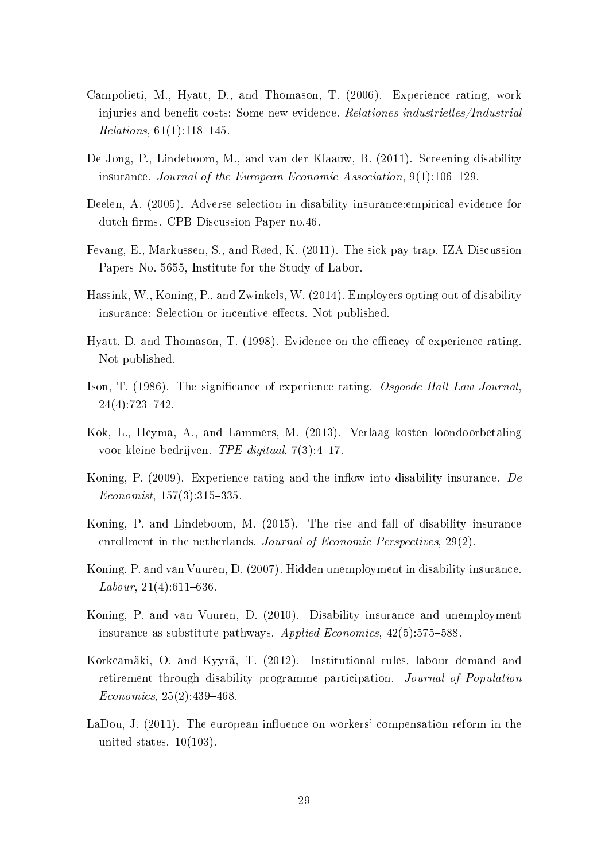- Campolieti, M., Hyatt, D., and Thomason, T. (2006). Experience rating, work injuries and benefit costs: Some new evidence. Relationes industrielles/Industrial Relations,  $61(1):118-145$ .
- De Jong, P., Lindeboom, M., and van der Klaauw, B. (2011). Screening disability insurance. Journal of the European Economic Association,  $9(1)$ :106-129.
- Deelen, A. (2005). Adverse selection in disability insurance:empirical evidence for dutch firms. CPB Discussion Paper no.46.
- Fevang, E., Markussen, S., and Røed, K. (2011). The sick pay trap. IZA Discussion Papers No. 5655, Institute for the Study of Labor.
- Hassink, W., Koning, P., and Zwinkels, W. (2014). Employers opting out of disability insurance: Selection or incentive effects. Not published.
- Hyatt, D. and Thomason, T. (1998). Evidence on the efficacy of experience rating. Not published.
- Ison, T. (1986). The signicance of experience rating. Osgoode Hall Law Journal,  $24(4):723-742.$
- Kok, L., Heyma, A., and Lammers, M. (2013). Verlaag kosten loondoorbetaling voor kleine bedrijven. TPE digitaal,  $7(3):4-17$ .
- Koning, P.  $(2009)$ . Experience rating and the inflow into disability insurance. De  $Economist, 157(3):315-335.$
- Koning, P. and Lindeboom, M. (2015). The rise and fall of disability insurance enrollment in the netherlands. Journal of Economic Perspectives, 29(2).
- Koning, P. and van Vuuren, D. (2007). Hidden unemployment in disability insurance. Labour,  $21(4):611-636$ .
- Koning, P. and van Vuuren, D. (2010). Disability insurance and unemployment insurance as substitute pathways. Applied Economics,  $42(5)$ :575-588.
- Korkeamäki, O. and Kyyrä, T. (2012). Institutional rules, labour demand and retirement through disability programme participation. Journal of Population  $Economics, 25(2):439-468.$
- LaDou, J.  $(2011)$ . The european influence on workers' compensation reform in the united states.  $10(103)$ .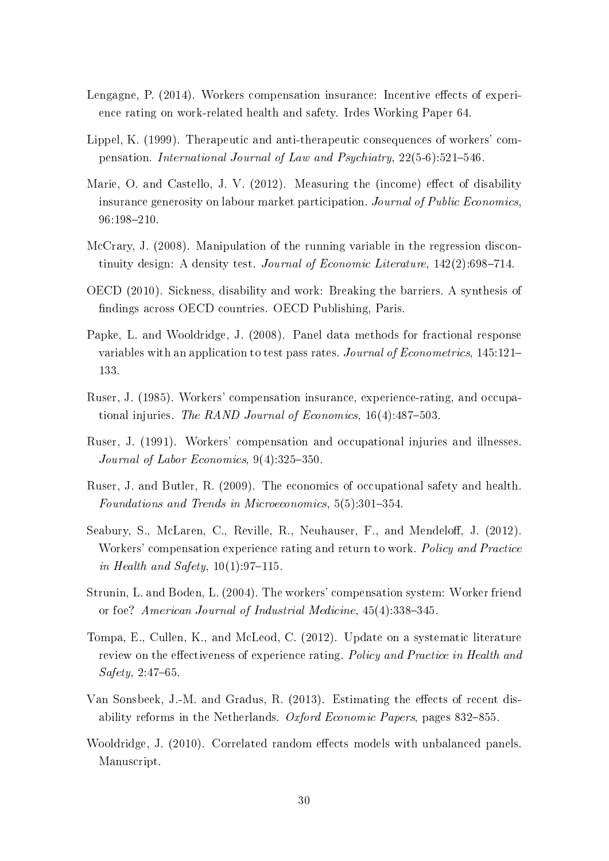- Lengagne, P. (2014). Workers compensation insurance: Incentive effects of experience rating on work-related health and safety. Irdes Working Paper 64.
- Lippel, K. (1999). Therapeutic and anti-therapeutic consequences of workers' compensation. International Journal of Law and Psychiatry,  $22(5-6):521-546$ .
- Marie, O. and Castello, J. V.  $(2012)$ . Measuring the (income) effect of disability insurance generosity on labour market participation. Journal of Public Economics 96:198210.
- McCrary, J. (2008). Manipulation of the running variable in the regression discontinuity design: A density test. Journal of Economic Literature,  $142(2)$ :698-714.
- OECD (2010). Sickness, disability and work: Breaking the barriers. A synthesis of ndings across OECD countries. OECD Publishing, Paris.
- Papke, L. and Wooldridge, J. (2008). Panel data methods for fractional response variables with an application to test pass rates. Journal of Econometrics, 145:121– 133.
- Ruser, J. (1985). Workers' compensation insurance, experience-rating, and occupational injuries. The RAND Journal of Economics,  $16(4):487-503$ .
- Ruser, J. (1991). Workers' compensation and occupational injuries and illnesses. Journal of Labor Economics,  $9(4):325-350$ .
- Ruser, J. and Butler, R. (2009). The economics of occupational safety and health. Foundations and Trends in Microeconomics,  $5(5):301-354$ .
- Seabury, S., McLaren, C., Reville, R., Neuhauser, F., and Mendeloff, J. (2012). Workers' compensation experience rating and return to work. Policy and Practice in Health and Safety,  $10(1):97-115$ .
- Strunin, L. and Boden, L. (2004). The workers' compensation system: Worker friend or foe? American Journal of Industrial Medicine,  $45(4)$ :338-345.
- Tompa, E., Cullen, K., and McLeod, C. (2012). Update on a systematic literature review on the effectiveness of experience rating. Policy and Practice in Health and  $Safety, 2:47–65.$
- Van Sonsbeek, J.-M. and Gradus, R.  $(2013)$ . Estimating the effects of recent disability reforms in the Netherlands. Oxford Economic Papers, pages  $832$ –855.
- Wooldridge, J. (2010). Correlated random effects models with unbalanced panels. Manuscript.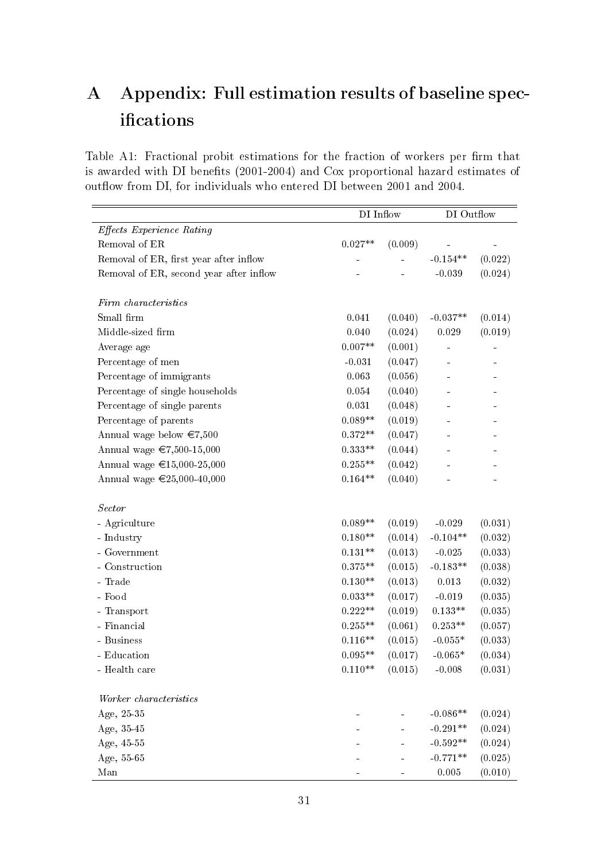# A Appendix: Full estimation results of baseline specifications

Table A1: Fractional probit estimations for the fraction of workers per firm that is awarded with DI benefits (2001-2004) and Cox proportional hazard estimates of outflow from DI, for individuals who entered DI between 2001 and 2004.

|                                         | DI Inflow          |         | DI Outflow |         |  |
|-----------------------------------------|--------------------|---------|------------|---------|--|
| <b>Effects Experience Rating</b>        |                    |         |            |         |  |
| Removal of ER                           | $0.027**$          | (0.009) |            |         |  |
| Removal of ER, first year after inflow  |                    |         | $-0.154**$ | (0.022) |  |
| Removal of ER, second year after inflow |                    |         | $-0.039$   | (0.024) |  |
| Firm characteristics                    |                    |         |            |         |  |
| Small firm                              | 0.041              | (0.040) | $-0.037**$ | (0.014) |  |
| Middle-sized firm                       | 0.040              | (0.024) | 0.029      | (0.019) |  |
| Average age                             | $0.007^{\ast\ast}$ | (0.001) |            |         |  |
| Percentage of men                       | $-0.031$           | (0.047) |            |         |  |
| Percentage of immigrants                | 0.063              | (0.056) |            |         |  |
| Percentage of single households         | 0.054              | (0.040) |            |         |  |
| Percentage of single parents            | $\rm 0.031$        | (0.048) |            |         |  |
| Percentage of parents                   | $0.089**$          | (0.019) |            |         |  |
| Annual wage below $\epsilon$ 7,500      | $0.372**$          | (0.047) |            |         |  |
| Annual wage €7,500-15,000               | $0.333**$          | (0.044) |            |         |  |
| Annual wage €15,000-25,000              | $0.255**$          | (0.042) |            |         |  |
| Annual wage €25,000-40,000              | $0.164**$          | (0.040) |            |         |  |
| <b>Sector</b>                           |                    |         |            |         |  |
| - Agriculture                           | $0.089**$          | (0.019) | $-0.029$   | (0.031) |  |
| - Industry                              | $0.180**$          | (0.014) | $-0.104**$ | (0.032) |  |
| - Government                            | $0.131**$          | (0.013) | $-0.025$   | (0.033) |  |
| - Construction                          | $0.375**$          | (0.015) | $-0.183**$ | (0.038) |  |
| - Trade                                 | $0.130**$          | (0.013) | 0.013      | (0.032) |  |
| - Food                                  | $0.033**$          | (0.017) | $-0.019$   | (0.035) |  |
| - Transport                             | $0.222**$          | (0.019) | $0.133**$  | (0.035) |  |
| - Financial                             | $0.255**$          | (0.061) | $0.253**$  | (0.057) |  |
| - Business                              | $0.116**$          | (0.015) | $-0.055*$  | (0.033) |  |
| - Education                             | $0.095**$          | (0.017) | $-0.065*$  | (0.034) |  |
| - Health care                           | $0.110**$          | (0.015) | $-0.008$   | (0.031) |  |
| Worker characteristics                  |                    |         |            |         |  |
| Age, $25-35$                            |                    |         | $-0.086**$ | (0.024) |  |
| Age, 35-45                              |                    |         | $-0.291**$ | (0.024) |  |
| Age, 45-55                              |                    |         | $-0.592**$ | (0.024) |  |
| Age, $55-65$                            |                    |         | $-0.771**$ | (0.025) |  |
| Man                                     |                    |         | 0.005      | (0.010) |  |